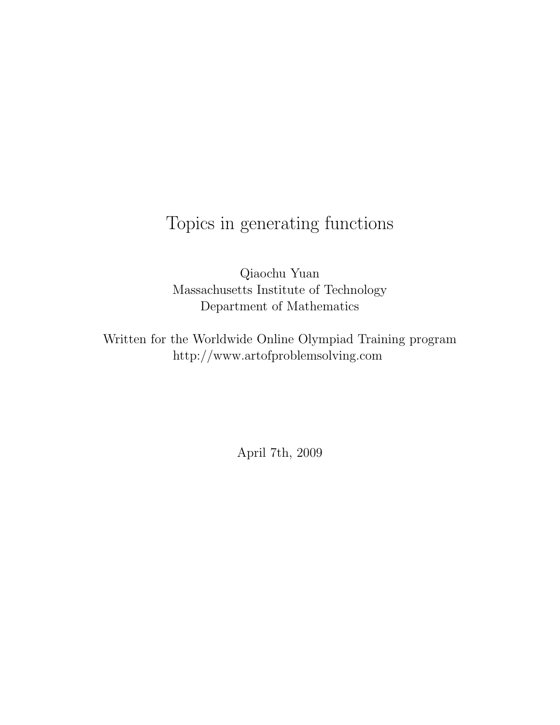# Topics in generating functions

Qiaochu Yuan Massachusetts Institute of Technology Department of Mathematics

Written for the Worldwide Online Olympiad Training program http://www.artofproblemsolving.com

April 7th, 2009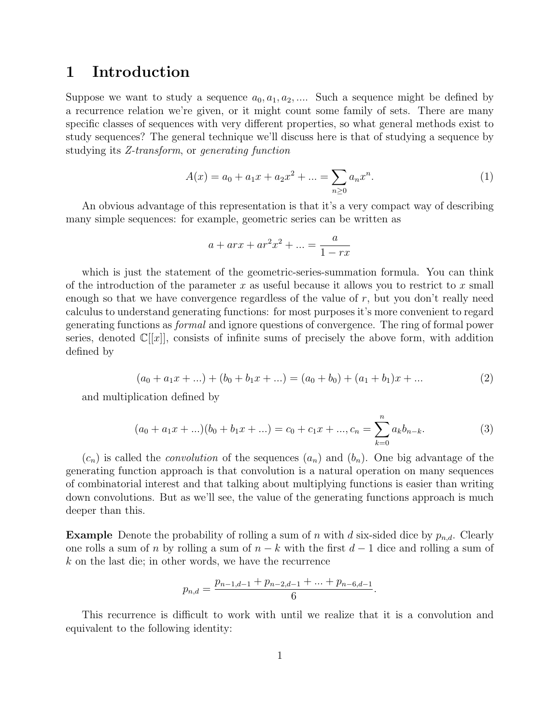## 1 Introduction

Suppose we want to study a sequence  $a_0, a_1, a_2, \ldots$  Such a sequence might be defined by a recurrence relation we're given, or it might count some family of sets. There are many specific classes of sequences with very different properties, so what general methods exist to study sequences? The general technique we'll discuss here is that of studying a sequence by studying its Z-transform, or generating function

$$
A(x) = a_0 + a_1 x + a_2 x^2 + \dots = \sum_{n \ge 0} a_n x^n.
$$
 (1)

An obvious advantage of this representation is that it's a very compact way of describing many simple sequences: for example, geometric series can be written as

$$
a + arx + ar2x2 + \dots = \frac{a}{1 - rx}
$$

which is just the statement of the geometric-series-summation formula. You can think of the introduction of the parameter x as useful because it allows you to restrict to  $x$  small enough so that we have convergence regardless of the value of  $r$ , but you don't really need calculus to understand generating functions: for most purposes it's more convenient to regard generating functions as formal and ignore questions of convergence. The ring of formal power series, denoted  $\mathbb{C}[[x]]$ , consists of infinite sums of precisely the above form, with addition defined by

$$
(a_0 + a_1x + ...) + (b_0 + b_1x + ...) = (a_0 + b_0) + (a_1 + b_1)x + ...
$$
\n(2)

and multiplication defined by

$$
(a_0 + a_1 x + ...) (b_0 + b_1 x + ...) = c_0 + c_1 x + ..., c_n = \sum_{k=0}^{n} a_k b_{n-k}.
$$
 (3)

 $(c_n)$  is called the *convolution* of the sequences  $(a_n)$  and  $(b_n)$ . One big advantage of the generating function approach is that convolution is a natural operation on many sequences of combinatorial interest and that talking about multiplying functions is easier than writing down convolutions. But as we'll see, the value of the generating functions approach is much deeper than this.

**Example** Denote the probability of rolling a sum of n with d six-sided dice by  $p_{n,d}$ . Clearly one rolls a sum of n by rolling a sum of  $n - k$  with the first  $d - 1$  dice and rolling a sum of k on the last die; in other words, we have the recurrence

$$
p_{n,d} = \frac{p_{n-1,d-1} + p_{n-2,d-1} + \dots + p_{n-6,d-1}}{6}.
$$

This recurrence is difficult to work with until we realize that it is a convolution and equivalent to the following identity: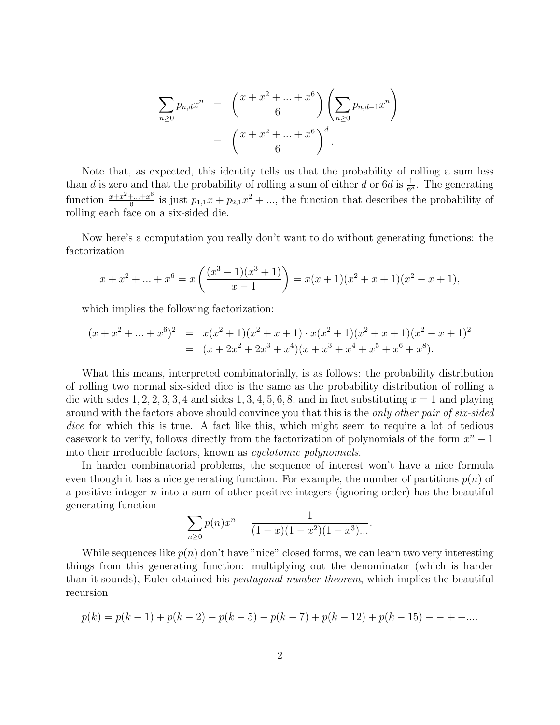$$
\sum_{n\geq 0} p_{n,d} x^n = \left(\frac{x + x^2 + \dots + x^6}{6}\right) \left(\sum_{n\geq 0} p_{n,d-1} x^n\right) = \left(\frac{x + x^2 + \dots + x^6}{6}\right)^d.
$$

Note that, as expected, this identity tells us that the probability of rolling a sum less than d is zero and that the probability of rolling a sum of either d or 6d is  $\frac{1}{6^d}$ . The generating function  $\frac{x+x^2+...+x^6}{6}$  $\frac{f_{\cdots}+x^{6}}{6}$  is just  $p_{1,1}x + p_{2,1}x^{2} + \ldots$ , the function that describes the probability of rolling each face on a six-sided die.

Now here's a computation you really don't want to do without generating functions: the factorization

$$
x + x2 + ... + x6 = x \left( \frac{(x3 - 1)(x3 + 1)}{x - 1} \right) = x(x + 1)(x2 + x + 1)(x2 - x + 1),
$$

which implies the following factorization:

$$
(x+x^2+...+x^6)^2 = x(x^2+1)(x^2+x+1) \cdot x(x^2+1)(x^2+x+1)(x^2-x+1)^2
$$
  
= 
$$
(x+2x^2+2x^3+x^4)(x+x^3+x^4+x^5+x^6+x^8).
$$

What this means, interpreted combinatorially, is as follows: the probability distribution of rolling two normal six-sided dice is the same as the probability distribution of rolling a die with sides 1, 2, 2, 3, 3, 4 and sides 1, 3, 4, 5, 6, 8, and in fact substituting  $x = 1$  and playing around with the factors above should convince you that this is the *only other pair of six-sided* dice for which this is true. A fact like this, which might seem to require a lot of tedious casework to verify, follows directly from the factorization of polynomials of the form  $x<sup>n</sup> - 1$ into their irreducible factors, known as cyclotomic polynomials.

In harder combinatorial problems, the sequence of interest won't have a nice formula even though it has a nice generating function. For example, the number of partitions  $p(n)$  of a positive integer  $n$  into a sum of other positive integers (ignoring order) has the beautiful generating function

$$
\sum_{n\geq 0} p(n)x^n = \frac{1}{(1-x)(1-x^2)(1-x^3)...}.
$$

While sequences like  $p(n)$  don't have "nice" closed forms, we can learn two very interesting things from this generating function: multiplying out the denominator (which is harder than it sounds), Euler obtained his pentagonal number theorem, which implies the beautiful recursion

$$
p(k) = p(k-1) + p(k-2) - p(k-5) - p(k-7) + p(k-12) + p(k-15) - + + \dots
$$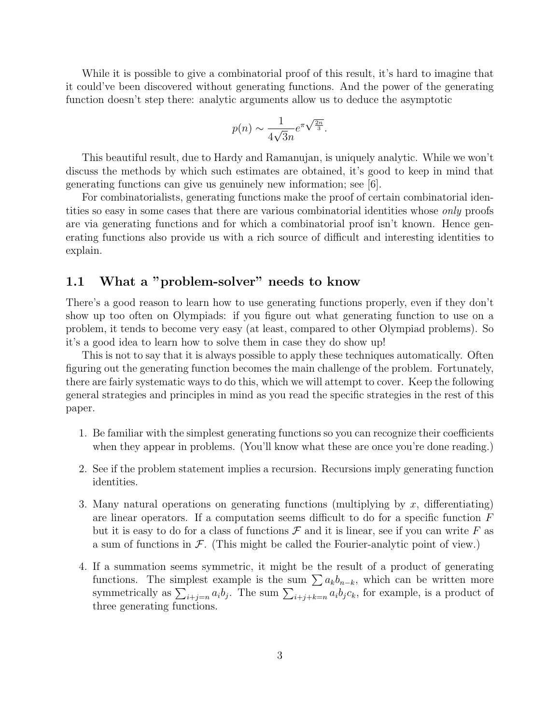While it is possible to give a combinatorial proof of this result, it's hard to imagine that it could've been discovered without generating functions. And the power of the generating function doesn't step there: analytic arguments allow us to deduce the asymptotic

$$
p(n) \sim \frac{1}{4\sqrt{3n}} e^{\pi\sqrt{\frac{2n}{3}}}.
$$

This beautiful result, due to Hardy and Ramanujan, is uniquely analytic. While we won't discuss the methods by which such estimates are obtained, it's good to keep in mind that generating functions can give us genuinely new information; see [6].

For combinatorialists, generating functions make the proof of certain combinatorial identities so easy in some cases that there are various combinatorial identities whose *only* proofs are via generating functions and for which a combinatorial proof isn't known. Hence generating functions also provide us with a rich source of difficult and interesting identities to explain.

## 1.1 What a "problem-solver" needs to know

There's a good reason to learn how to use generating functions properly, even if they don't show up too often on Olympiads: if you figure out what generating function to use on a problem, it tends to become very easy (at least, compared to other Olympiad problems). So it's a good idea to learn how to solve them in case they do show up!

This is not to say that it is always possible to apply these techniques automatically. Often figuring out the generating function becomes the main challenge of the problem. Fortunately, there are fairly systematic ways to do this, which we will attempt to cover. Keep the following general strategies and principles in mind as you read the specific strategies in the rest of this paper.

- 1. Be familiar with the simplest generating functions so you can recognize their coefficients when they appear in problems. (You'll know what these are once you're done reading.)
- 2. See if the problem statement implies a recursion. Recursions imply generating function identities.
- 3. Many natural operations on generating functions (multiplying by  $x$ , differentiating) are linear operators. If a computation seems difficult to do for a specific function  $F$ but it is easy to do for a class of functions  $\mathcal F$  and it is linear, see if you can write  $F$  as a sum of functions in  $\mathcal F$ . (This might be called the Fourier-analytic point of view.)
- 4. If a summation seems symmetric, it might be the result of a product of generating functions. The simplest example is the sum  $\sum a_k b_{n-k}$ , which can be written more symmetrically as  $\sum_{i+j=n} a_i b_j$ . The sum  $\sum_{i+j+k=n} a_i b_j c_k$ , for example, is a product of three generating functions.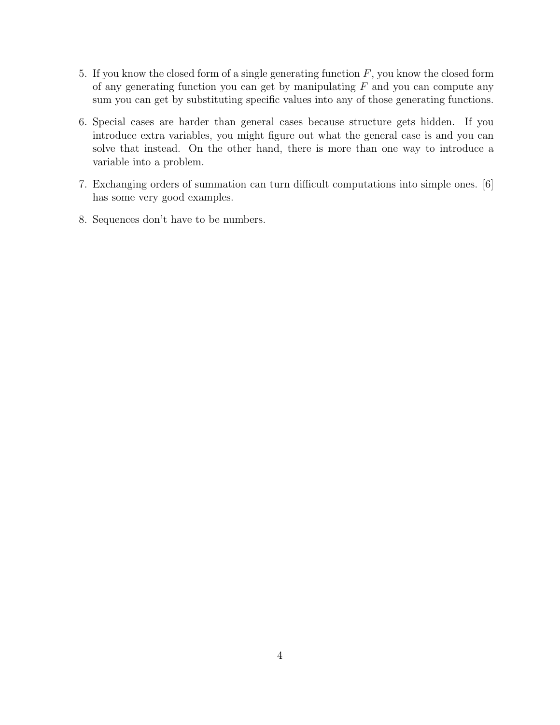- 5. If you know the closed form of a single generating function  $F$ , you know the closed form of any generating function you can get by manipulating  $F$  and you can compute any sum you can get by substituting specific values into any of those generating functions.
- 6. Special cases are harder than general cases because structure gets hidden. If you introduce extra variables, you might figure out what the general case is and you can solve that instead. On the other hand, there is more than one way to introduce a variable into a problem.
- 7. Exchanging orders of summation can turn difficult computations into simple ones. [6] has some very good examples.
- 8. Sequences don't have to be numbers.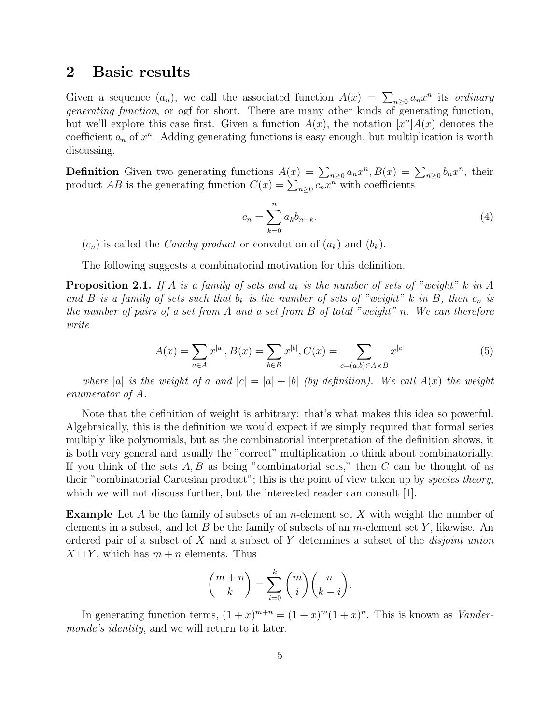## 2 Basic results

Given a sequence  $(a_n)$ , we call the associated function  $A(x) = \sum_{n\geq 0} a_n x^n$  its *ordinary* generating function, or ogf for short. There are many other kinds of generating function, but we'll explore this case first. Given a function  $A(x)$ , the notation  $[x^n]A(x)$  denotes the coefficient  $a_n$  of  $x^n$ . Adding generating functions is easy enough, but multiplication is worth discussing.

**Definition** Given two generating functions  $A(x) = \sum_{n\geq 0} a_n x^n, B(x) = \sum_{n\geq 0} b_n x^n$ , their product AB is the generating function  $C(x) = \sum_{n\geq 0} c_n x^n$  with coefficients

$$
c_n = \sum_{k=0}^{n} a_k b_{n-k}.\tag{4}
$$

 $(c_n)$  is called the *Cauchy product* or convolution of  $(a_k)$  and  $(b_k)$ .

The following suggests a combinatorial motivation for this definition.

**Proposition 2.1.** If A is a family of sets and  $a_k$  is the number of sets of "weight" k in A and B is a family of sets such that  $b_k$  is the number of sets of "weight" k in B, then  $c_n$  is the number of pairs of a set from A and a set from B of total "weight" n. We can therefore write

$$
A(x) = \sum_{a \in A} x^{|a|}, B(x) = \sum_{b \in B} x^{|b|}, C(x) = \sum_{c = (a,b) \in A \times B} x^{|c|}
$$
(5)

where |a| is the weight of a and  $|c| = |a| + |b|$  (by definition). We call  $A(x)$  the weight enumerator of A.

Note that the definition of weight is arbitrary: that's what makes this idea so powerful. Algebraically, this is the definition we would expect if we simply required that formal series multiply like polynomials, but as the combinatorial interpretation of the definition shows, it is both very general and usually the "correct" multiplication to think about combinatorially. If you think of the sets  $A, B$  as being "combinatorial sets," then  $C$  can be thought of as their "combinatorial Cartesian product"; this is the point of view taken up by species theory, which we will not discuss further, but the interested reader can consult [1].

**Example** Let A be the family of subsets of an *n*-element set X with weight the number of elements in a subset, and let  $B$  be the family of subsets of an m-element set  $Y$ , likewise. An ordered pair of a subset of X and a subset of Y determines a subset of the *disjoint union*  $X \sqcup Y$ , which has  $m + n$  elements. Thus

$$
\binom{m+n}{k} = \sum_{i=0}^{k} \binom{m}{i} \binom{n}{k-i}.
$$

In generating function terms,  $(1+x)^{m+n} = (1+x)^m(1+x)^n$ . This is known as Vandermonde's *identity*, and we will return to it later.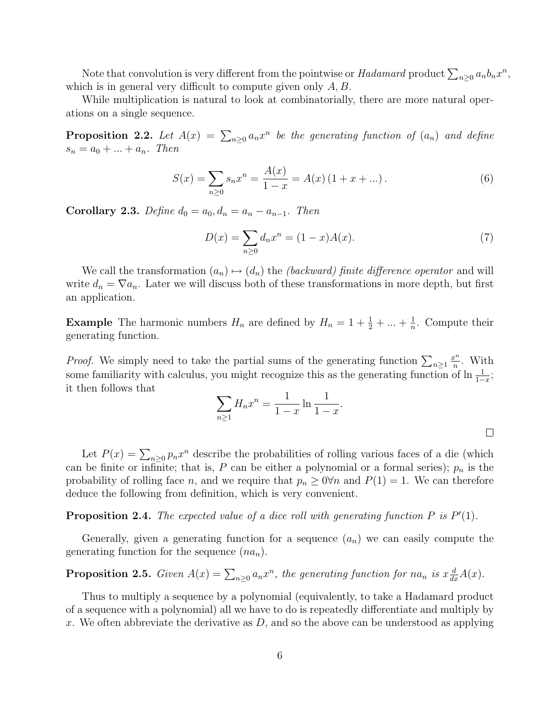Note that convolution is very different from the pointwise or Hadamard product  $\sum_{n\geq 0} a_n b_n x^n$ , which is in general very difficult to compute given only A, B.

While multiplication is natural to look at combinatorially, there are more natural operations on a single sequence.

**Proposition 2.2.** Let  $A(x) = \sum_{n\geq 0} a_n x^n$  be the generating function of  $(a_n)$  and define  $s_n = a_0 + ... + a_n$ . Then

$$
S(x) = \sum_{n\geq 0} s_n x^n = \frac{A(x)}{1-x} = A(x) (1+x+\ldots). \tag{6}
$$

Corollary 2.3. Define  $d_0 = a_0, d_n = a_n - a_{n-1}$ . Then

$$
D(x) = \sum_{n\geq 0} d_n x^n = (1-x)A(x).
$$
 (7)

We call the transformation  $(a_n) \mapsto (d_n)$  the *(backward) finite difference operator* and will write  $d_n = \nabla a_n$ . Later we will discuss both of these transformations in more depth, but first an application.

**Example** The harmonic numbers  $H_n$  are defined by  $H_n = 1 + \frac{1}{2} + ... + \frac{1}{n}$  $\frac{1}{n}$ . Compute their generating function.

*Proof.* We simply need to take the partial sums of the generating function  $\sum_{n\geq 1}$  $x^n$  $\frac{r^n}{n}$ . With some familiarity with calculus, you might recognize this as the generating function of  $\ln \frac{1}{1-x}$ ; it then follows that

$$
\sum_{n\geq 1} H_n x^n = \frac{1}{1-x} \ln \frac{1}{1-x}.
$$

 $\Box$ 

Let  $P(x) = \sum_{n\geq 0} p_n x^n$  describe the probabilities of rolling various faces of a die (which can be finite or infinite; that is, P can be either a polynomial or a formal series);  $p_n$  is the probability of rolling face n, and we require that  $p_n \geq 0 \forall n$  and  $P(1) = 1$ . We can therefore deduce the following from definition, which is very convenient.

**Proposition 2.4.** The expected value of a dice roll with generating function  $P$  is  $P'(1)$ .

Generally, given a generating function for a sequence  $(a_n)$  we can easily compute the generating function for the sequence  $(na_n)$ .

# **Proposition 2.5.** Given  $A(x) = \sum_{n\geq 0} a_n x^n$ , the generating function for  $na_n$  is  $x \frac{d}{dx} A(x)$ .

Thus to multiply a sequence by a polynomial (equivalently, to take a Hadamard product of a sequence with a polynomial) all we have to do is repeatedly differentiate and multiply by x. We often abbreviate the derivative as  $D$ , and so the above can be understood as applying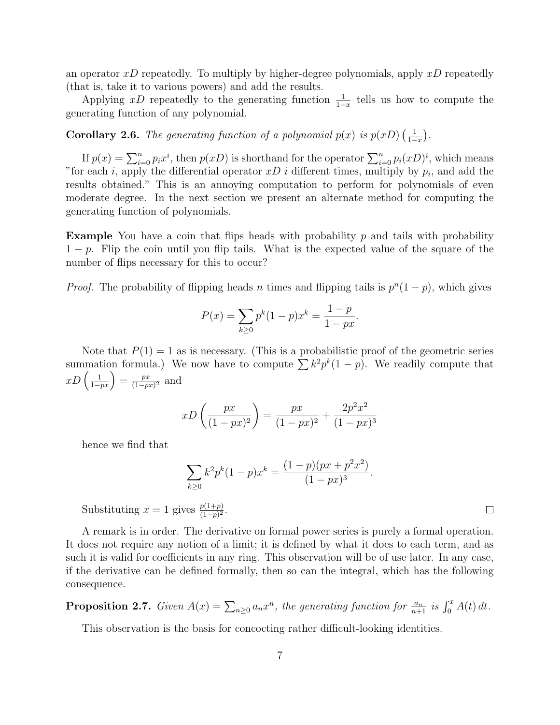an operator xD repeatedly. To multiply by higher-degree polynomials, apply  $xD$  repeatedly (that is, take it to various powers) and add the results.

Applying xD repeatedly to the generating function  $\frac{1}{1-x}$  tells us how to compute the generating function of any polynomial.

**Corollary 2.6.** The generating function of a polynomial  $p(x)$  is  $p(xD)$   $\left(\frac{1}{1-x}\right)$  $\frac{1}{1-x}$ .

If  $p(x) = \sum_{i=0}^{n} p_i x^i$ , then  $p(xD)$  is shorthand for the operator  $\sum_{i=0}^{n} p_i (xD)^i$ , which means "for each i, apply the differential operator  $xD$  i different times, multiply by  $p_i$ , and add the results obtained." This is an annoying computation to perform for polynomials of even moderate degree. In the next section we present an alternate method for computing the generating function of polynomials.

**Example** You have a coin that flips heads with probability  $p$  and tails with probability  $1 - p$ . Flip the coin until you flip tails. What is the expected value of the square of the number of flips necessary for this to occur?

*Proof.* The probability of flipping heads n times and flipping tails is  $p^{n}(1-p)$ , which gives

$$
P(x) = \sum_{k \ge 0} p^k (1 - p) x^k = \frac{1 - p}{1 - px}.
$$

Note that  $P(1) = 1$  as is necessary. (This is a probabilistic proof of the geometric series summation formula.) We now have to compute  $\sum k^2 p^k (1-p)$ . We readily compute that  $xD\left(\frac{1}{1-px}\right)=\frac{px}{(1-px)}$  $\frac{px}{(1-px)^2}$  and

$$
xD\left(\frac{px}{(1-px)^2}\right) = \frac{px}{(1-px)^2} + \frac{2p^2x^2}{(1-px)^3}
$$

hence we find that

$$
\sum_{k\geq 0} k^2 p^k (1-p) x^k = \frac{(1-p)(px+p^2x^2)}{(1-px)^3}.
$$

 $\Box$ 

Substituting  $x = 1$  gives  $\frac{p(1+p)}{(1-p)^2}$ .

A remark is in order. The derivative on formal power series is purely a formal operation. It does not require any notion of a limit; it is defined by what it does to each term, and as such it is valid for coefficients in any ring. This observation will be of use later. In any case, if the derivative can be defined formally, then so can the integral, which has the following consequence.

**Proposition 2.7.** Given  $A(x) = \sum_{n\geq 0} a_n x^n$ , the generating function for  $\frac{a_n}{n+1}$  is  $\int_0^x A(t) dt$ .

This observation is the basis for concocting rather difficult-looking identities.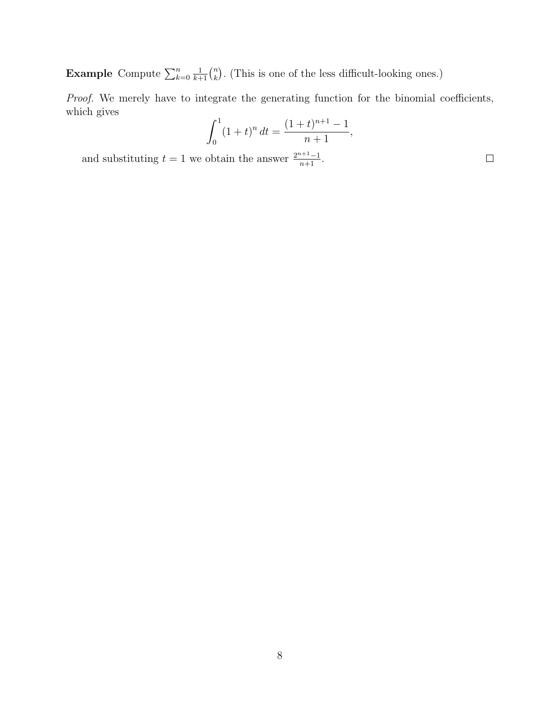Example Compute  $\sum_{k=0}^{n}$  $\frac{1}{k+1}$  $\binom{n}{k}$  $\binom{n}{k}$ . (This is one of the less difficult-looking ones.)

Proof. We merely have to integrate the generating function for the binomial coefficients, which gives

$$
\int_0^1 (1+t)^n dt = \frac{(1+t)^{n+1} - 1}{n+1},
$$

 $\Box$ 

and substituting  $t = 1$  we obtain the answer  $\frac{2^{n+1}-1}{n+1}$ .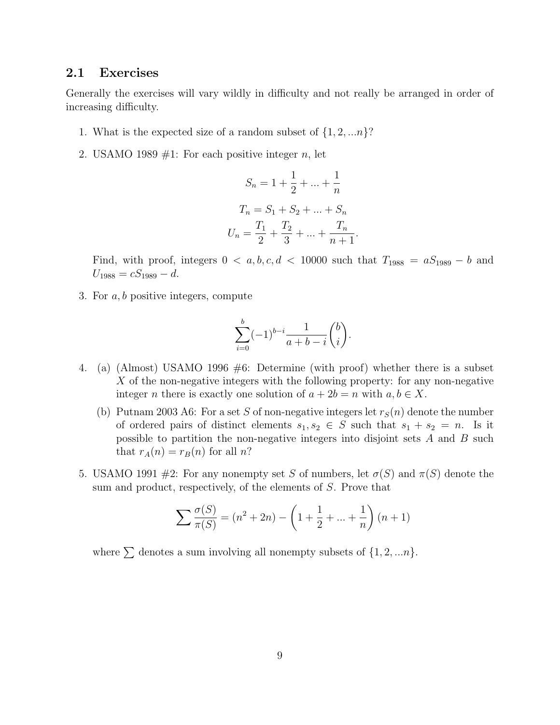#### 2.1 Exercises

Generally the exercises will vary wildly in difficulty and not really be arranged in order of increasing difficulty.

- 1. What is the expected size of a random subset of  $\{1, 2, \ldots n\}$ ?
- 2. USAMO 1989  $#1$ : For each positive integer n, let

$$
S_n = 1 + \frac{1}{2} + \dots + \frac{1}{n}
$$

$$
T_n = S_1 + S_2 + \dots + S_n
$$

$$
U_n = \frac{T_1}{2} + \frac{T_2}{3} + \dots + \frac{T_n}{n+1}
$$

.

Find, with proof, integers  $0 < a, b, c, d < 10000$  such that  $T_{1988} = aS_{1989} - b$  and  $U_{1988} = cS_{1989} - d.$ 

3. For a, b positive integers, compute

$$
\sum_{i=0}^{b} (-1)^{b-i} \frac{1}{a+b-i} \binom{b}{i}.
$$

- 4. (a) (Almost) USAMO 1996 #6: Determine (with proof) whether there is a subset X of the non-negative integers with the following property: for any non-negative integer *n* there is exactly one solution of  $a + 2b = n$  with  $a, b \in X$ .
	- (b) Putnam 2003 A6: For a set S of non-negative integers let  $r<sub>S</sub>(n)$  denote the number of ordered pairs of distinct elements  $s_1, s_2 \in S$  such that  $s_1 + s_2 = n$ . Is it possible to partition the non-negative integers into disjoint sets A and B such that  $r_A(n) = r_B(n)$  for all n?
- 5. USAMO 1991 #2: For any nonempty set S of numbers, let  $\sigma(S)$  and  $\pi(S)$  denote the sum and product, respectively, of the elements of S. Prove that

$$
\sum \frac{\sigma(S)}{\pi(S)} = (n^2 + 2n) - \left(1 + \frac{1}{2} + \dots + \frac{1}{n}\right)(n+1)
$$

where  $\sum$  denotes a sum involving all nonempty subsets of  $\{1, 2, \ldots n\}$ .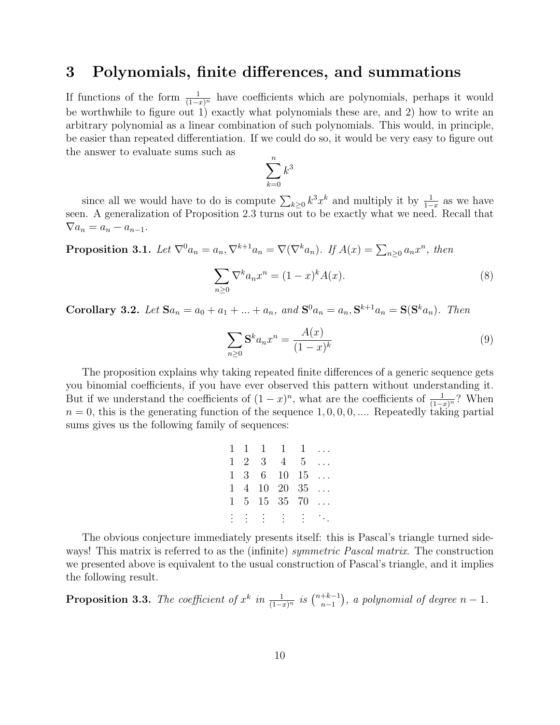## 3 Polynomials, finite differences, and summations

If functions of the form  $\frac{1}{(1-x)^n}$  have coefficients which are polynomials, perhaps it would be worthwhile to figure out 1) exactly what polynomials these are, and 2) how to write an arbitrary polynomial as a linear combination of such polynomials. This would, in principle, be easier than repeated differentiation. If we could do so, it would be very easy to figure out the answer to evaluate sums such as

$$
\sum_{k=0}^{n} k^3
$$

since all we would have to do is compute  $\sum_{k\geq 0} k^3 x^k$  and multiply it by  $\frac{1}{1-x}$  as we have seen. A generalization of Proposition 2.3 turns out to be exactly what we need. Recall that  $\nabla a_n = a_n - a_{n-1}.$ 

**Proposition 3.1.** Let  $\nabla^0 a_n = a_n, \nabla^{k+1} a_n = \nabla(\nabla^k a_n)$ . If  $A(x) = \sum_{n \geq 0} a_n x^n$ , then

$$
\sum_{n\geq 0} \nabla^k a_n x^n = (1-x)^k A(x). \tag{8}
$$

Corollary 3.2. Let  $S a_n = a_0 + a_1 + ... + a_n$ , and  $S^0 a_n = a_n$ ,  $S^{k+1} a_n = S(S^k a_n)$ . Then

$$
\sum_{n\geq 0} \mathbf{S}^k a_n x^n = \frac{A(x)}{(1-x)^k}
$$
 (9)

The proposition explains why taking repeated finite differences of a generic sequence gets you binomial coefficients, if you have ever observed this pattern without understanding it. But if we understand the coefficients of  $(1-x)^n$ , what are the coefficients of  $\frac{1}{(1-x)^n}$ ? When  $n = 0$ , this is the generating function of the sequence  $1, 0, 0, 0, \dots$ . Repeatedly taking partial sums gives us the following family of sequences:

|  | $1 \quad 1 \quad 1 \quad 1 \quad 1 \quad \ldots$    |  |
|--|-----------------------------------------------------|--|
|  | $1 \t2 \t3 \t4 \t5 \t$                              |  |
|  | $1 \t3 \t6 \t10 \t15 \t$                            |  |
|  | $1 \quad 4 \quad 10 \quad 20 \quad 35 \quad \ldots$ |  |
|  | $1\ 5\ 15\ 35\ 70\ \ldots$                          |  |
|  | 4.4 4 4 4 5 6                                       |  |

The obvious conjecture immediately presents itself: this is Pascal's triangle turned sideways! This matrix is referred to as the (infinite) *symmetric Pascal matrix*. The construction we presented above is equivalent to the usual construction of Pascal's triangle, and it implies the following result.

**Proposition 3.3.** The coefficient of  $x^k$  in  $\frac{1}{(1-x)^n}$  is  $\binom{n+k-1}{n-1}$  $\binom{+k-1}{n-1}$ , a polynomial of degree  $n-1$ .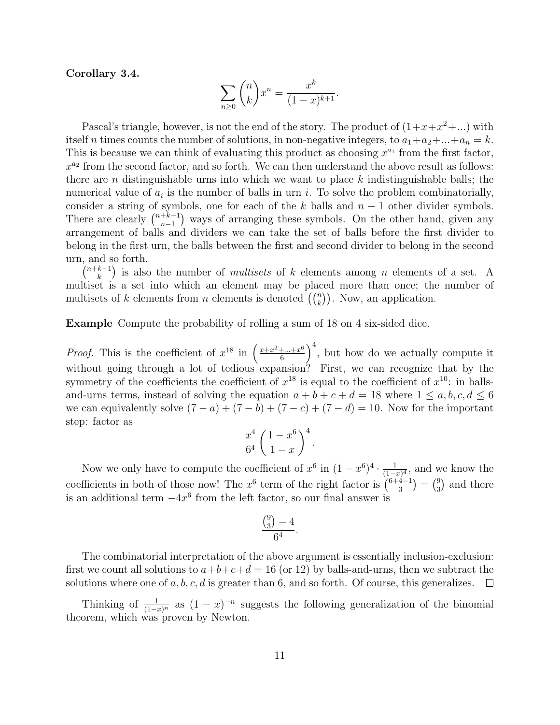Corollary 3.4.

$$
\sum_{n\geq 0} \binom{n}{k} x^n = \frac{x^k}{(1-x)^{k+1}}.
$$

Pascal's triangle, however, is not the end of the story. The product of  $(1+x+x^2+...)$  with itself *n* times counts the number of solutions, in non-negative integers, to  $a_1 + a_2 + ... + a_n = k$ . This is because we can think of evaluating this product as choosing  $x^{a_1}$  from the first factor,  $x^{a_2}$  from the second factor, and so forth. We can then understand the above result as follows: there are n distinguishable urns into which we want to place k indistinguishable balls; the numerical value of  $a_i$  is the number of balls in urn i. To solve the problem combinatorially, consider a string of symbols, one for each of the k balls and  $n-1$  other divider symbols. There are clearly  $\binom{n+k-1}{n-1}$  $\binom{+k-1}{n-1}$  ways of arranging these symbols. On the other hand, given any arrangement of balls and dividers we can take the set of balls before the first divider to belong in the first urn, the balls between the first and second divider to belong in the second urn, and so forth.

 $\binom{n+k-1}{k}$  $\binom{k-1}{k}$  is also the number of *multisets* of k elements among n elements of a set. A multiset is a set into which an element may be placed more than once; the number of multisets of k elements from n elements is denoted  $\binom{n}{k}$ . Now, an application.

Example Compute the probability of rolling a sum of 18 on 4 six-sided dice.

*Proof.* This is the coefficient of  $x^{18}$  in  $\left(\frac{x+x^2+\ldots+x^6}{6}\right)$  $\left(\frac{+\ldots+x^6}{6}\right)^4$ , but how do we actually compute it without going through a lot of tedious expansion? First, we can recognize that by the symmetry of the coefficients the coefficient of  $x^{18}$  is equal to the coefficient of  $x^{10}$ : in ballsand-urns terms, instead of solving the equation  $a + b + c + d = 18$  where  $1 \le a, b, c, d \le 6$ we can equivalently solve  $(7 - a) + (7 - b) + (7 - c) + (7 - d) = 10$ . Now for the important step: factor as

$$
\frac{x^4}{6^4} \left(\frac{1-x^6}{1-x}\right)^4.
$$

Now we only have to compute the coefficient of  $x^6$  in  $(1-x^6)^4 \cdot \frac{1}{(1-x^6)^4}$  $\frac{1}{(1-x)^4}$ , and we know the coefficients in both of those now! The  $x^6$  term of the right factor is  $\binom{6+4-1}{3}$  $\binom{4-1}{3} = \binom{9}{3}$  $_3^9$  and there is an additional term  $-4x^6$  from the left factor, so our final answer is

$$
\frac{\binom{9}{3}-4}{6^4}.
$$

The combinatorial interpretation of the above argument is essentially inclusion-exclusion: first we count all solutions to  $a+b+c+d = 16$  (or 12) by balls-and-urns, then we subtract the solutions where one of  $a, b, c, d$  is greater than 6, and so forth. Of course, this generalizes.  $\Box$ 

Thinking of  $\frac{1}{(1-x)^n}$  as  $(1-x)^{-n}$  suggests the following generalization of the binomial theorem, which was proven by Newton.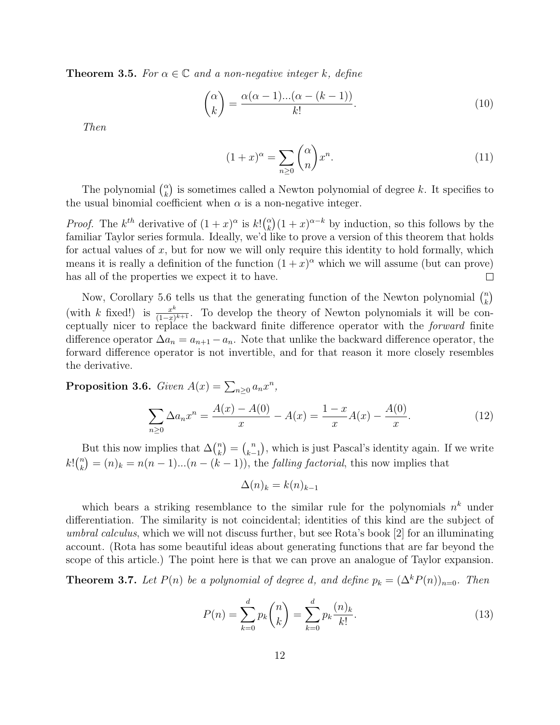**Theorem 3.5.** For  $\alpha \in \mathbb{C}$  and a non-negative integer k, define

$$
\binom{\alpha}{k} = \frac{\alpha(\alpha-1)\dots(\alpha-(k-1))}{k!}.\tag{10}
$$

Then

$$
(1+x)^{\alpha} = \sum_{n\geq 0} {\alpha \choose n} x^n.
$$
 (11)

The polynomial  $\binom{\alpha}{k}$  $\binom{\alpha}{k}$  is sometimes called a Newton polynomial of degree k. It specifies to the usual binomial coefficient when  $\alpha$  is a non-negative integer.

*Proof.* The  $k^{th}$  derivative of  $(1+x)^{\alpha}$  is  $k! \binom{\alpha}{k}$  $\binom{\alpha}{k}(1+x)^{\alpha-k}$  by induction, so this follows by the familiar Taylor series formula. Ideally, we'd like to prove a version of this theorem that holds for actual values of  $x$ , but for now we will only require this identity to hold formally, which means it is really a definition of the function  $(1+x)^\alpha$  which we will assume (but can prove)  $\Box$ has all of the properties we expect it to have.

Now, Corollary 5.6 tells us that the generating function of the Newton polynomial  $\binom{n}{k}$  $\binom{n}{k}$ (with k fixed!) is  $\frac{x^k}{(1-x)}$  $\frac{x^k}{(1-x)^{k+1}}$ . To develop the theory of Newton polynomials it will be conceptually nicer to replace the backward finite difference operator with the *forward* finite difference operator  $\Delta a_n = a_{n+1} - a_n$ . Note that unlike the backward difference operator, the forward difference operator is not invertible, and for that reason it more closely resembles the derivative.

Proposition 3.6. Given  $A(x) = \sum_{n\geq 0} a_n x^n$ ,

$$
\sum_{n\geq 0} \Delta a_n x^n = \frac{A(x) - A(0)}{x} - A(x) = \frac{1 - x}{x} A(x) - \frac{A(0)}{x}.
$$
 (12)

But this now implies that  $\Delta\binom{n}{k}$  $\binom{n}{k} = \binom{n}{k-1}$  $\binom{n}{k-1}$ , which is just Pascal's identity again. If we write  $k! \binom{n}{k}$  $\binom{n}{k} = (n)_k = n(n-1)...(n-(k-1)),$  the *falling factorial*, this now implies that

$$
\Delta(n)_k = k(n)_{k-1}
$$

which bears a striking resemblance to the similar rule for the polynomials  $n^k$  under differentiation. The similarity is not coincidental; identities of this kind are the subject of umbral calculus, which we will not discuss further, but see Rota's book [2] for an illuminating account. (Rota has some beautiful ideas about generating functions that are far beyond the scope of this article.) The point here is that we can prove an analogue of Taylor expansion.

**Theorem 3.7.** Let  $P(n)$  be a polynomial of degree d, and define  $p_k = (\Delta^k P(n))_{n=0}$ . Then

$$
P(n) = \sum_{k=0}^{d} p_k \binom{n}{k} = \sum_{k=0}^{d} p_k \frac{(n)_k}{k!}.
$$
 (13)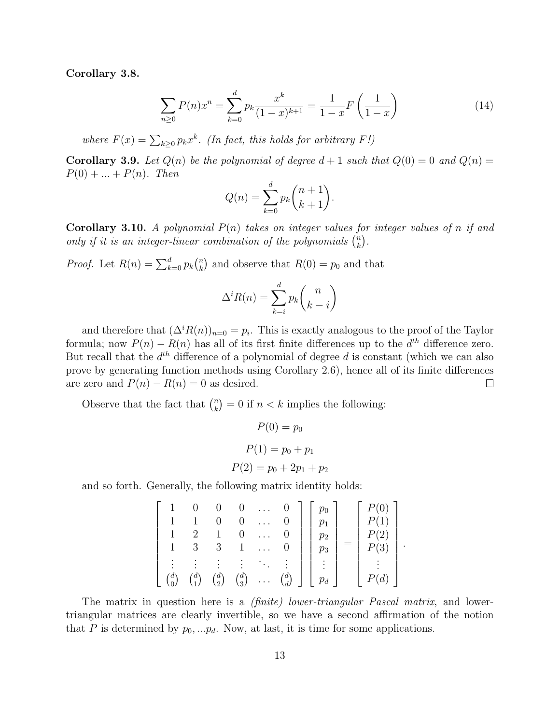Corollary 3.8.

$$
\sum_{n\geq 0} P(n)x^n = \sum_{k=0}^d p_k \frac{x^k}{(1-x)^{k+1}} = \frac{1}{1-x} F\left(\frac{1}{1-x}\right)
$$
(14)

where  $F(x) = \sum_{k\geq 0} p_k x^k$ . (In fact, this holds for arbitrary F!)

**Corollary 3.9.** Let  $Q(n)$  be the polynomial of degree  $d+1$  such that  $Q(0) = 0$  and  $Q(n) = 0$  $P(0) + ... + P(n)$ . Then

$$
Q(n) = \sum_{k=0}^{d} p_k {n+1 \choose k+1}.
$$

**Corollary 3.10.** A polynomial  $P(n)$  takes on integer values for integer values of n if and only if it is an integer-linear combination of the polynomials  $\binom{n}{k}$  $\binom{n}{k}$ .

*Proof.* Let  $R(n) = \sum_{k=0}^{d} p_k {n \choose k}$  $\binom{n}{k}$  and observe that  $R(0) = p_0$  and that

$$
\Delta^i R(n) = \sum_{k=i}^d p_k {n \choose k-i}
$$

and therefore that  $(\Delta^i R(n))_{n=0} = p_i$ . This is exactly analogous to the proof of the Taylor formula; now  $P(n) - R(n)$  has all of its first finite differences up to the  $d^{th}$  difference zero. But recall that the  $d^{th}$  difference of a polynomial of degree d is constant (which we can also prove by generating function methods using Corollary 2.6), hence all of its finite differences are zero and  $P(n) - R(n) = 0$  as desired.  $\Box$ 

Observe that the fact that  $\binom{n}{k}$  ${k \choose k} = 0$  if  $n < k$  implies the following:

$$
P(0) = p_0
$$

$$
P(1) = p_0 + p_1
$$

$$
P(2) = p_0 + 2p_1 + p_2
$$

and so forth. Generally, the following matrix identity holds:

$$
\begin{bmatrix} 1 & 0 & 0 & 0 & \dots & 0 \\ 1 & 1 & 0 & 0 & \dots & 0 \\ 1 & 2 & 1 & 0 & \dots & 0 \\ 1 & 3 & 3 & 1 & \dots & 0 \\ \vdots & \vdots & \vdots & \vdots & \ddots & \vdots \\ (d) & \binom{d}{1} & \binom{d}{2} & \binom{d}{3} & \dots & \binom{d}{d} \end{bmatrix} \begin{bmatrix} p_0 \\ p_1 \\ p_2 \\ p_3 \\ \vdots \\ p_d \end{bmatrix} = \begin{bmatrix} P(0) \\ P(1) \\ P(2) \\ P(3) \\ \vdots \\ P(d) \end{bmatrix}.
$$

The matrix in question here is a *(finite) lower-triangular Pascal matrix*, and lowertriangular matrices are clearly invertible, so we have a second affirmation of the notion that P is determined by  $p_0, \ldots, p_d$ . Now, at last, it is time for some applications.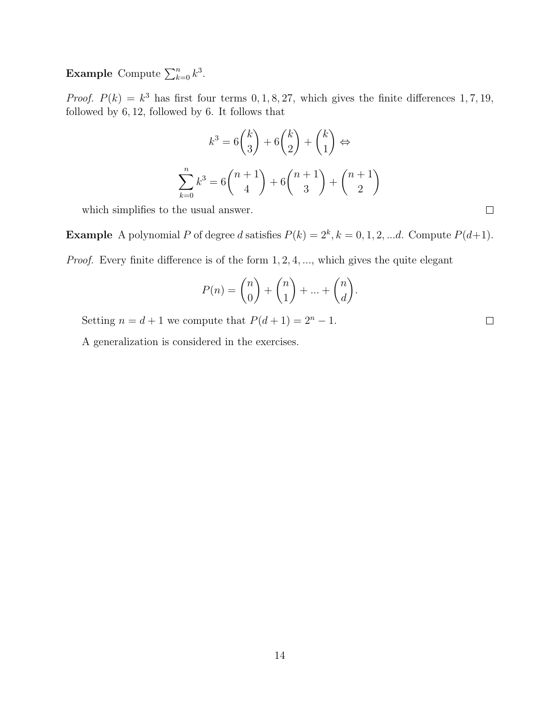Example Compute  $\sum_{k=0}^{n} k^3$ .

*Proof.*  $P(k) = k^3$  has first four terms 0, 1, 8, 27, which gives the finite differences 1, 7, 19, followed by 6, 12, followed by 6. It follows that

$$
k^3 = 6\binom{k}{3} + 6\binom{k}{2} + \binom{k}{1} \Leftrightarrow
$$

$$
\sum_{k=0}^n k^3 = 6\binom{n+1}{4} + 6\binom{n+1}{3} + \binom{n+1}{2}
$$

which simplifies to the usual answer.

**Example** A polynomial P of degree d satisfies  $P(k) = 2^k, k = 0, 1, 2, ...d$ . Compute  $P(d+1)$ .

Proof. Every finite difference is of the form  $1, 2, 4, \ldots$ , which gives the quite elegant

$$
P(n) = \binom{n}{0} + \binom{n}{1} + \dots + \binom{n}{d}.
$$

Setting  $n = d + 1$  we compute that  $P(d + 1) = 2<sup>n</sup> - 1$ .

A generalization is considered in the exercises.

 $\Box$ 

 $\Box$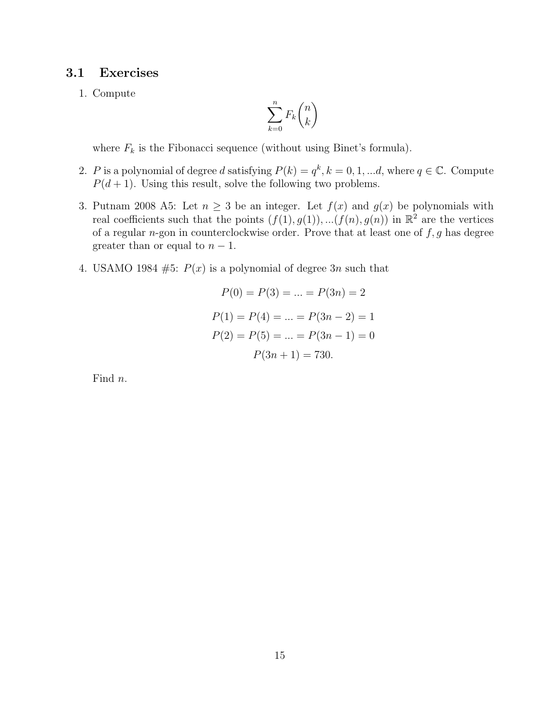### 3.1 Exercises

1. Compute

$$
\sum_{k=0}^n F_k \binom{n}{k}
$$

where  $F_k$  is the Fibonacci sequence (without using Binet's formula).

- 2. P is a polynomial of degree d satisfying  $P(k) = q^k, k = 0, 1, \dots d$ , where  $q \in \mathbb{C}$ . Compute  $P(d+1)$ . Using this result, solve the following two problems.
- 3. Putnam 2008 A5: Let  $n \geq 3$  be an integer. Let  $f(x)$  and  $g(x)$  be polynomials with real coefficients such that the points  $(f(1), g(1)), \ldots (f(n), g(n))$  in  $\mathbb{R}^2$  are the vertices of a regular n-gon in counterclockwise order. Prove that at least one of  $f, g$  has degree greater than or equal to  $n - 1$ .
- 4. USAMO 1984  $#5: P(x)$  is a polynomial of degree 3n such that

$$
P(0) = P(3) = \dots = P(3n) = 2
$$
  
\n
$$
P(1) = P(4) = \dots = P(3n - 2) = 1
$$
  
\n
$$
P(2) = P(5) = \dots = P(3n - 1) = 0
$$
  
\n
$$
P(3n + 1) = 730.
$$

Find n.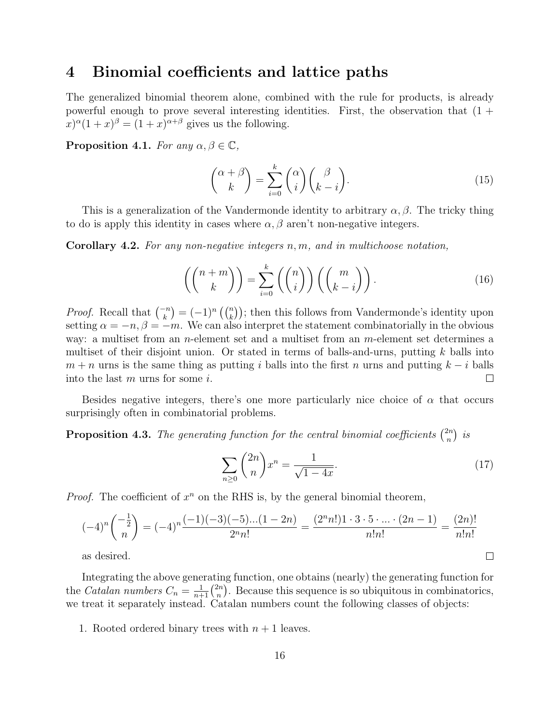## 4 Binomial coefficients and lattice paths

The generalized binomial theorem alone, combined with the rule for products, is already powerful enough to prove several interesting identities. First, the observation that  $(1 +$  $f(x)^\alpha(1+x)^\beta = (1+x)^{\alpha+\beta}$  gives us the following.

**Proposition 4.1.** For any  $\alpha, \beta \in \mathbb{C}$ ,

$$
\binom{\alpha+\beta}{k} = \sum_{i=0}^{k} \binom{\alpha}{i} \binom{\beta}{k-i}.
$$
\n(15)

This is a generalization of the Vandermonde identity to arbitrary  $\alpha, \beta$ . The tricky thing to do is apply this identity in cases where  $\alpha, \beta$  aren't non-negative integers.

**Corollary 4.2.** For any non-negative integers  $n, m$ , and in multichoose notation,

$$
\left( \binom{n+m}{k} \right) = \sum_{i=0}^{k} \left( \binom{n}{i} \right) \left( \binom{m}{k-i} \right). \tag{16}
$$

*Proof.* Recall that  $\binom{-n}{k} = (-1)^n \binom{n}{k}$ ; then this follows from Vandermonde's identity upon setting  $\alpha = -n, \beta = -m$ . We can also interpret the statement combinatorially in the obvious way: a multiset from an *n*-element set and a multiset from an *m*-element set determines a multiset of their disjoint union. Or stated in terms of balls-and-urns, putting  $k$  balls into  $m + n$  urns is the same thing as putting i balls into the first n urns and putting  $k - i$  balls into the last  $m$  urns for some  $i$ .  $\Box$ 

Besides negative integers, there's one more particularly nice choice of  $\alpha$  that occurs surprisingly often in combinatorial problems.

**Proposition 4.3.** The generating function for the central binomial coefficients  $\binom{2n}{n}$  $\binom{2n}{n}$  is

$$
\sum_{n\geq 0} \binom{2n}{n} x^n = \frac{1}{\sqrt{1-4x}}.\tag{17}
$$

 $\Box$ 

*Proof.* The coefficient of  $x^n$  on the RHS is, by the general binomial theorem,

$$
(-4)^n \binom{-\frac{1}{2}}{n} = (-4)^n \frac{(-1)(-3)(-5)...(1-2n)}{2^n n!} = \frac{(2^n n!) \cdot 1 \cdot 3 \cdot 5 \cdot ... \cdot (2n-1)}{n! n!} = \frac{(2n)!}{n! n!}
$$

as desired.

Integrating the above generating function, one obtains (nearly) the generating function for the *Catalan numbers*  $C_n = \frac{1}{n+1} \binom{2n}{n}$  $\binom{2n}{n}$ . Because this sequence is so ubiquitous in combinatorics, we treat it separately instead. Catalan numbers count the following classes of objects:

1. Rooted ordered binary trees with  $n + 1$  leaves.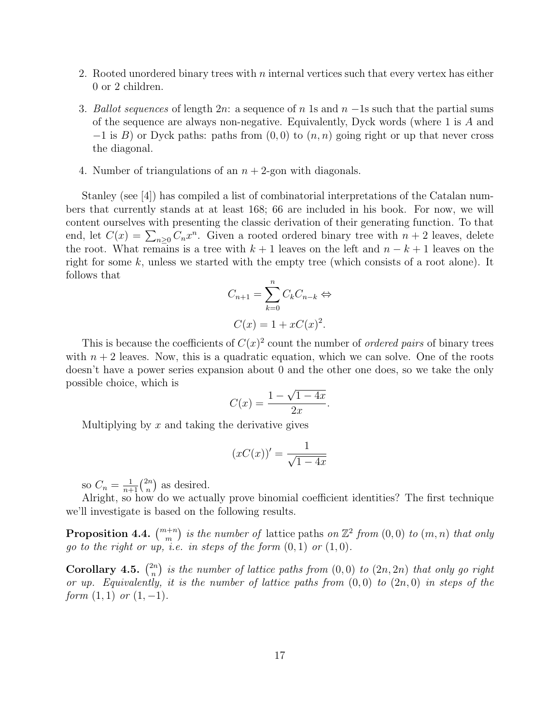- 2. Rooted unordered binary trees with  $n$  internal vertices such that every vertex has either 0 or 2 children.
- 3. Ballot sequences of length  $2n$ : a sequence of n 1s and  $n-1$ s such that the partial sums of the sequence are always non-negative. Equivalently, Dyck words (where 1 is A and  $-1$  is B) or Dyck paths: paths from  $(0,0)$  to  $(n,n)$  going right or up that never cross the diagonal.
- 4. Number of triangulations of an  $n + 2$ -gon with diagonals.

Stanley (see [4]) has compiled a list of combinatorial interpretations of the Catalan numbers that currently stands at at least 168; 66 are included in his book. For now, we will content ourselves with presenting the classic derivation of their generating function. To that end, let  $C(x) = \sum_{n\geq 0} C_n x^n$ . Given a rooted ordered binary tree with  $n+2$  leaves, delete the root. What remains is a tree with  $k + 1$  leaves on the left and  $n - k + 1$  leaves on the right for some  $k$ , unless we started with the empty tree (which consists of a root alone). It follows that

$$
C_{n+1} = \sum_{k=0}^{n} C_k C_{n-k} \Leftrightarrow
$$
  

$$
C(x) = 1 + xC(x)^2.
$$

This is because the coefficients of  $C(x)^2$  count the number of *ordered pairs* of binary trees with  $n + 2$  leaves. Now, this is a quadratic equation, which we can solve. One of the roots doesn't have a power series expansion about 0 and the other one does, so we take the only possible choice, which is √

$$
C(x) = \frac{1 - \sqrt{1 - 4x}}{2x}.
$$

Multiplying by  $x$  and taking the derivative gives

$$
(xC(x))' = \frac{1}{\sqrt{1-4x}}
$$

so  $C_n = \frac{1}{n+1} \binom{2n}{n}$  $\binom{2n}{n}$  as desired.

Alright, so how do we actually prove binomial coefficient identities? The first technique we'll investigate is based on the following results.

**Proposition 4.4.**  $\binom{m+n}{m}$  is the number of lattice paths on  $\mathbb{Z}^2$  from  $(0,0)$  to  $(m,n)$  that only go to the right or up, i.e. in steps of the form  $(0, 1)$  or  $(1, 0)$ .

Corollary 4.5.  $\binom{2n}{n}$  $\binom{2n}{n}$  is the number of lattice paths from  $(0,0)$  to  $(2n,2n)$  that only go right or up. Equivalently, it is the number of lattice paths from  $(0,0)$  to  $(2n,0)$  in steps of the form  $(1, 1)$  or  $(1, -1)$ .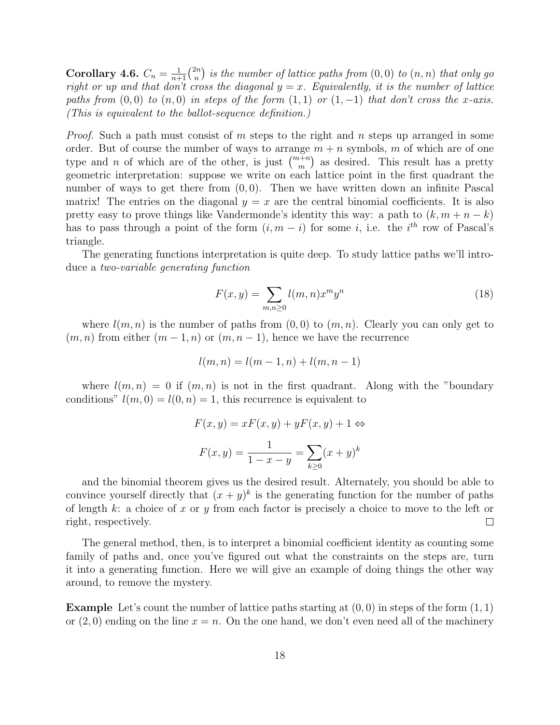Corollary 4.6.  $C_n = \frac{1}{n+1} \binom{2n}{n}$  $\binom{2n}{n}$  is the number of lattice paths from  $(0,0)$  to  $(n,n)$  that only go right or up and that don't cross the diagonal  $y = x$ . Equivalently, it is the number of lattice paths from  $(0, 0)$  to  $(n, 0)$  in steps of the form  $(1, 1)$  or  $(1, -1)$  that don't cross the x-axis. (This is equivalent to the ballot-sequence definition.)

*Proof.* Such a path must consist of m steps to the right and n steps up arranged in some order. But of course the number of ways to arrange  $m + n$  symbols, m of which are of one type and n of which are of the other, is just  $\binom{m+n}{m}$  as desired. This result has a pretty geometric interpretation: suppose we write on each lattice point in the first quadrant the number of ways to get there from  $(0, 0)$ . Then we have written down an infinite Pascal matrix! The entries on the diagonal  $y = x$  are the central binomial coefficients. It is also pretty easy to prove things like Vandermonde's identity this way: a path to  $(k, m + n - k)$ has to pass through a point of the form  $(i, m - i)$  for some i, i.e. the i<sup>th</sup> row of Pascal's triangle.

The generating functions interpretation is quite deep. To study lattice paths we'll introduce a two-variable generating function

$$
F(x, y) = \sum_{m,n \ge 0} l(m, n) x^m y^n
$$
 (18)

where  $l(m, n)$  is the number of paths from  $(0, 0)$  to  $(m, n)$ . Clearly you can only get to  $(m, n)$  from either  $(m - 1, n)$  or  $(m, n - 1)$ , hence we have the recurrence

$$
l(m, n) = l(m - 1, n) + l(m, n - 1)
$$

where  $l(m, n) = 0$  if  $(m, n)$  is not in the first quadrant. Along with the "boundary" conditions"  $l(m, 0) = l(0, n) = 1$ , this recurrence is equivalent to

$$
F(x, y) = xF(x, y) + yF(x, y) + 1 \Leftrightarrow
$$

$$
F(x, y) = \frac{1}{1 - x - y} = \sum_{k \ge 0} (x + y)^k
$$

and the binomial theorem gives us the desired result. Alternately, you should be able to convince yourself directly that  $(x + y)^k$  is the generating function for the number of paths of length k: a choice of x or y from each factor is precisely a choice to move to the left or right, respectively.  $\Box$ 

The general method, then, is to interpret a binomial coefficient identity as counting some family of paths and, once you've figured out what the constraints on the steps are, turn it into a generating function. Here we will give an example of doing things the other way around, to remove the mystery.

**Example** Let's count the number of lattice paths starting at  $(0, 0)$  in steps of the form  $(1, 1)$ or  $(2,0)$  ending on the line  $x = n$ . On the one hand, we don't even need all of the machinery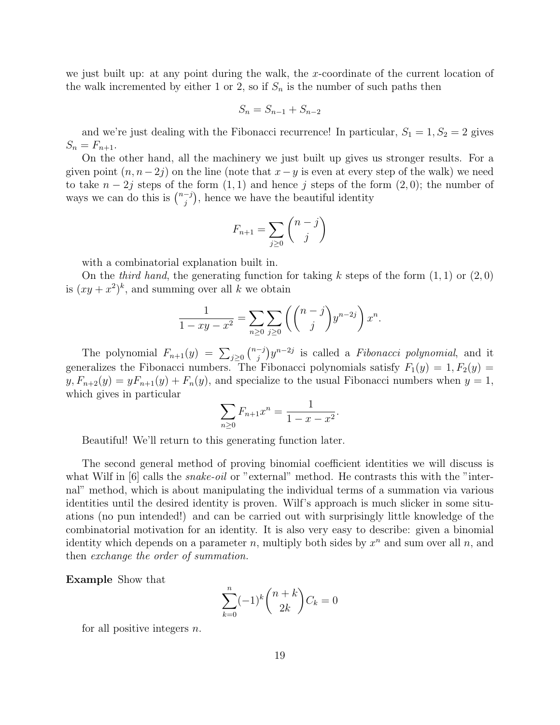we just built up: at any point during the walk, the x-coordinate of the current location of the walk incremented by either 1 or 2, so if  $S_n$  is the number of such paths then

$$
S_n = S_{n-1} + S_{n-2}
$$

and we're just dealing with the Fibonacci recurrence! In particular,  $S_1 = 1, S_2 = 2$  gives  $S_n = F_{n+1}.$ 

On the other hand, all the machinery we just built up gives us stronger results. For a given point  $(n, n-2j)$  on the line (note that  $x-y$  is even at every step of the walk) we need to take  $n-2j$  steps of the form  $(1, 1)$  and hence j steps of the form  $(2, 0)$ ; the number of ways we can do this is  $\binom{n-j}{i}$  $j^{(-j)}$ , hence we have the beautiful identity

$$
F_{n+1} = \sum_{j\geq 0} \binom{n-j}{j}
$$

with a combinatorial explanation built in.

On the *third hand*, the generating function for taking k steps of the form  $(1, 1)$  or  $(2, 0)$ is  $(xy + x^2)^k$ , and summing over all k we obtain

$$
\frac{1}{1-xy-x^2} = \sum_{n\geq 0} \sum_{j\geq 0} \left( \binom{n-j}{j} y^{n-2j} \right) x^n.
$$

The polynomial  $F_{n+1}(y) = \sum_{j\geq 0} {n-j \choose j}$  $\int_j^{-j}$ ) $y^{n-2j}$  is called a *Fibonacci polynomial*, and it generalizes the Fibonacci numbers. The Fibonacci polynomials satisfy  $F_1(y) = 1, F_2(y) = 1$  $y, F_{n+2}(y) = yF_{n+1}(y) + F_n(y)$ , and specialize to the usual Fibonacci numbers when  $y = 1$ , which gives in particular

$$
\sum_{n\geq 0} F_{n+1} x^n = \frac{1}{1-x-x^2}.
$$

Beautiful! We'll return to this generating function later.

The second general method of proving binomial coefficient identities we will discuss is what Wilf in  $[6]$  calls the *snake-oil* or "external" method. He contrasts this with the "internal" method, which is about manipulating the individual terms of a summation via various identities until the desired identity is proven. Wilf's approach is much slicker in some situations (no pun intended!) and can be carried out with surprisingly little knowledge of the combinatorial motivation for an identity. It is also very easy to describe: given a binomial identity which depends on a parameter n, multiply both sides by  $x^n$  and sum over all n, and then exchange the order of summation.

Example Show that

$$
\sum_{k=0}^{n} (-1)^{k} {n+k \choose 2k} C_k = 0
$$

for all positive integers  $n$ .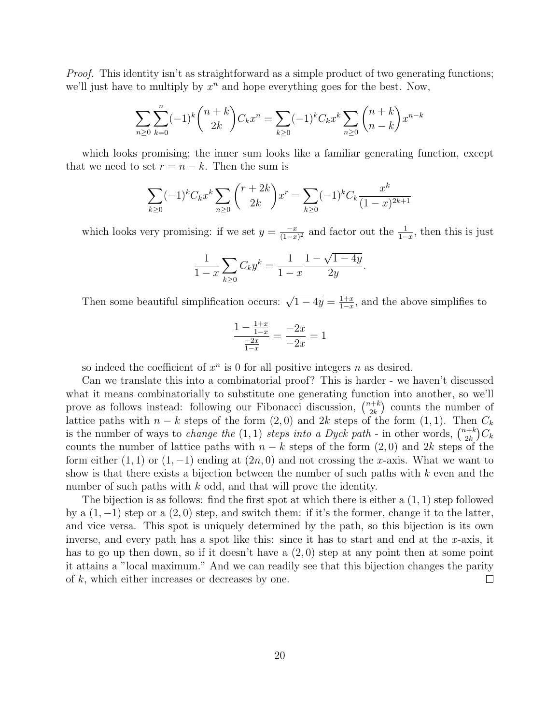Proof. This identity isn't as straightforward as a simple product of two generating functions; we'll just have to multiply by  $x^n$  and hope everything goes for the best. Now,

$$
\sum_{n\geq 0} \sum_{k=0}^{n} (-1)^{k} \binom{n+k}{2k} C_{k} x^{n} = \sum_{k\geq 0} (-1)^{k} C_{k} x^{k} \sum_{n\geq 0} \binom{n+k}{n-k} x^{n-k}
$$

which looks promising; the inner sum looks like a familiar generating function, except that we need to set  $r = n - k$ . Then the sum is

$$
\sum_{k\geq 0} (-1)^k C_k x^k \sum_{n\geq 0} \binom{r+2k}{2k} x^r = \sum_{k\geq 0} (-1)^k C_k \frac{x^k}{(1-x)^{2k+1}}
$$

which looks very promising: if we set  $y = \frac{-x}{(1-x)^2}$  $\frac{-x}{(1-x)^2}$  and factor out the  $\frac{1}{1-x}$ , then this is just

$$
\frac{1}{1-x} \sum_{k \ge 0} C_k y^k = \frac{1}{1-x} \frac{1 - \sqrt{1-4y}}{2y}.
$$

Then some beautiful simplification occurs:  $\sqrt{1-4y} = \frac{1+x}{1-x}$  $\frac{1+x}{1-x}$ , and the above simplifies to

$$
\frac{1 - \frac{1+x}{1-x}}{\frac{-2x}{1-x}} = \frac{-2x}{-2x} = 1
$$

so indeed the coefficient of  $x^n$  is 0 for all positive integers n as desired.

Can we translate this into a combinatorial proof? This is harder - we haven't discussed what it means combinatorially to substitute one generating function into another, so we'll prove as follows instead: following our Fibonacci discussion,  $\binom{n+k}{2k}$  $\binom{n+k}{2k}$  counts the number of lattice paths with  $n - k$  steps of the form  $(2, 0)$  and 2k steps of the form  $(1, 1)$ . Then  $C_k$ is the number of ways to *change the* (1, 1) steps into a Dyck path - in other words,  $\binom{n+k}{2k}$  $\binom{n+k}{2k}C_k$ counts the number of lattice paths with  $n - k$  steps of the form  $(2, 0)$  and 2k steps of the form either  $(1, 1)$  or  $(1, -1)$  ending at  $(2n, 0)$  and not crossing the x-axis. What we want to show is that there exists a bijection between the number of such paths with  $k$  even and the number of such paths with k odd, and that will prove the identity.

The bijection is as follows: find the first spot at which there is either a  $(1, 1)$  step followed by a  $(1, -1)$  step or a  $(2, 0)$  step, and switch them: if it's the former, change it to the latter, and vice versa. This spot is uniquely determined by the path, so this bijection is its own inverse, and every path has a spot like this: since it has to start and end at the x-axis, it has to go up then down, so if it doesn't have a  $(2,0)$  step at any point then at some point it attains a "local maximum." And we can readily see that this bijection changes the parity of k, which either increases or decreases by one.  $\Box$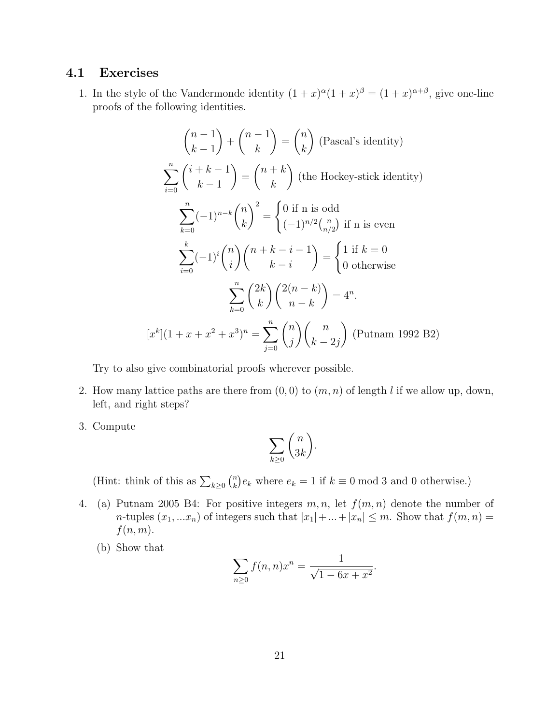## 4.1 Exercises

1. In the style of the Vandermonde identity  $(1+x)^{\alpha}(1+x)^{\beta} = (1+x)^{\alpha+\beta}$ , give one-line proofs of the following identities.

$$
\binom{n-1}{k-1} + \binom{n-1}{k} = \binom{n}{k} \text{ (Pascal's identity)}
$$
\n
$$
\sum_{i=0}^{n} \binom{i+k-1}{k-1} = \binom{n+k}{k} \text{ (the Hockey-stick identity)}
$$
\n
$$
\sum_{k=0}^{n} (-1)^{n-k} \binom{n}{k}^2 = \begin{cases} 0 \text{ if n is odd} \\ (-1)^{n/2} \binom{n}{n/2} \text{ if n is even} \end{cases}
$$
\n
$$
\sum_{i=0}^{k} (-1)^i \binom{n}{i} \binom{n+k-i-1}{k-i} = \begin{cases} 1 \text{ if } k=0 \\ 0 \text{ otherwise} \end{cases}
$$
\n
$$
\sum_{k=0}^{n} \binom{2k}{k} \binom{2(n-k)}{n-k} = 4^n.
$$
\n
$$
[x^k](1+x+x^2+x^3)^n = \sum_{j=0}^{n} \binom{n}{j} \binom{n}{k-2j} \text{ (Putnam 1992 B2)}
$$

Try to also give combinatorial proofs wherever possible.

- 2. How many lattice paths are there from  $(0,0)$  to  $(m, n)$  of length l if we allow up, down, left, and right steps?
- 3. Compute

$$
\sum_{k\geq 0} \binom{n}{3k}.
$$

(Hint: think of this as  $\sum_{k\geq 0} \binom{n}{k}$  $e_k^m$ ) $e_k$  where  $e_k = 1$  if  $k \equiv 0 \mod 3$  and 0 otherwise.)

- 4. (a) Putnam 2005 B4: For positive integers  $m, n$ , let  $f(m, n)$  denote the number of n-tuples  $(x_1, ... x_n)$  of integers such that  $|x_1| + ... + |x_n| \leq m$ . Show that  $f(m, n) =$  $f(n, m)$ .
	- (b) Show that

$$
\sum_{n\geq 0} f(n, n)x^n = \frac{1}{\sqrt{1 - 6x + x^2}}.
$$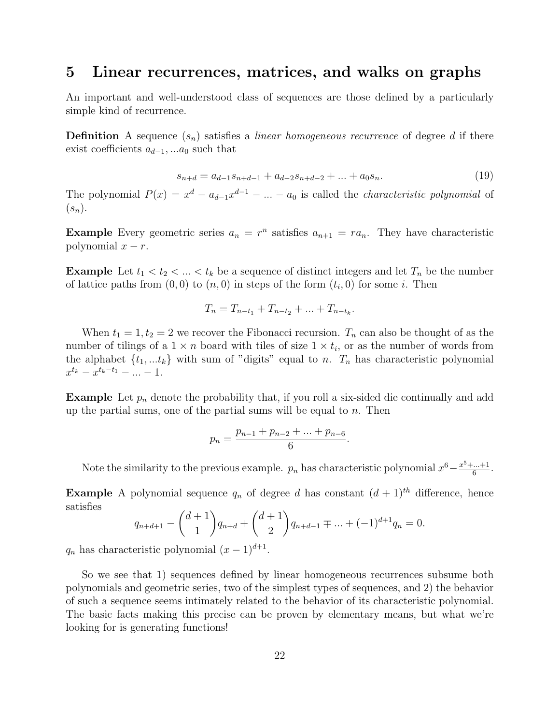## 5 Linear recurrences, matrices, and walks on graphs

An important and well-understood class of sequences are those defined by a particularly simple kind of recurrence.

**Definition** A sequence  $(s_n)$  satisfies a *linear homogeneous recurrence* of degree d if there exist coefficients  $a_{d-1}, \ldots a_0$  such that

$$
s_{n+d} = a_{d-1}s_{n+d-1} + a_{d-2}s_{n+d-2} + \dots + a_0s_n.
$$
\n(19)

The polynomial  $P(x) = x^d - a_{d-1}x^{d-1} - ... - a_0$  is called the *characteristic polynomial* of  $(s_n).$ 

**Example** Every geometric series  $a_n = r^n$  satisfies  $a_{n+1} = ra_n$ . They have characteristic polynomial  $x - r$ .

Example Let  $t_1 < t_2 < ... < t_k$  be a sequence of distinct integers and let  $T_n$  be the number of lattice paths from  $(0,0)$  to  $(n,0)$  in steps of the form  $(t_i,0)$  for some i. Then

$$
T_n = T_{n-t_1} + T_{n-t_2} + \dots + T_{n-t_k}.
$$

When  $t_1 = 1, t_2 = 2$  we recover the Fibonacci recursion.  $T_n$  can also be thought of as the number of tilings of a  $1 \times n$  board with tiles of size  $1 \times t_i$ , or as the number of words from the alphabet  $\{t_1, \ldots t_k\}$  with sum of "digits" equal to n.  $T_n$  has characteristic polynomial  $x^{t_k} - x^{t_k-t_1} - \ldots - 1.$ 

**Example** Let  $p_n$  denote the probability that, if you roll a six-sided die continually and add up the partial sums, one of the partial sums will be equal to  $n$ . Then

$$
p_n = \frac{p_{n-1} + p_{n-2} + \dots + p_{n-6}}{6}.
$$

Note the similarity to the previous example.  $p_n$  has characteristic polynomial  $x^6 - \frac{x^5 + ... + 1}{6}$  $\frac{...+1}{6}$ .

**Example** A polynomial sequence  $q_n$  of degree d has constant  $(d+1)^{th}$  difference, hence satisfies

$$
q_{n+d+1} - {d+1 \choose 1} q_{n+d} + {d+1 \choose 2} q_{n+d-1} \mp \dots + (-1)^{d+1} q_n = 0.
$$

 $q_n$  has characteristic polynomial  $(x-1)^{d+1}$ .

So we see that 1) sequences defined by linear homogeneous recurrences subsume both polynomials and geometric series, two of the simplest types of sequences, and 2) the behavior of such a sequence seems intimately related to the behavior of its characteristic polynomial. The basic facts making this precise can be proven by elementary means, but what we're looking for is generating functions!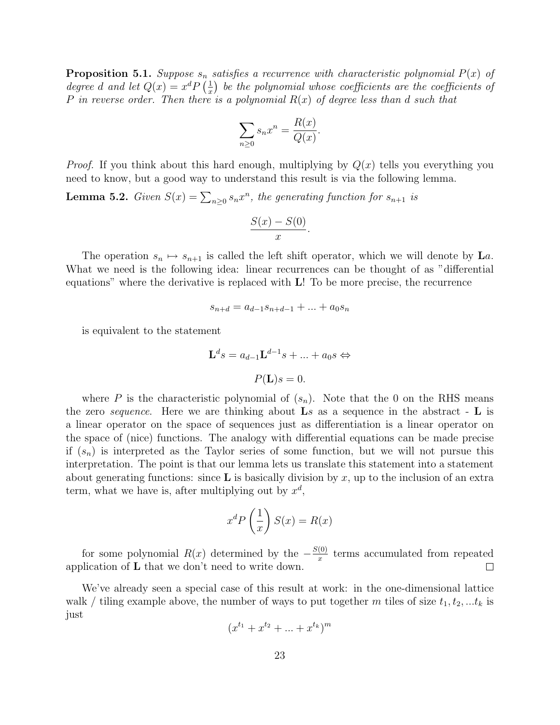**Proposition 5.1.** Suppose  $s_n$  satisfies a recurrence with characteristic polynomial  $P(x)$  of degree d and let  $Q(x) = x^d P\left(\frac{1}{x}\right)$  $\frac{1}{x}$ ) be the polynomial whose coefficients are the coefficients of P in reverse order. Then there is a polynomial  $R(x)$  of degree less than d such that

$$
\sum_{n\geq 0} s_n x^n = \frac{R(x)}{Q(x)}.
$$

*Proof.* If you think about this hard enough, multiplying by  $Q(x)$  tells you everything you need to know, but a good way to understand this result is via the following lemma.

# **Lemma 5.2.** Given  $S(x) = \sum_{n\geq 0} s_n x^n$ , the generating function for  $s_{n+1}$  is

$$
\frac{S(x) - S(0)}{x}.
$$

The operation  $s_n \mapsto s_{n+1}$  is called the left shift operator, which we will denote by La. What we need is the following idea: linear recurrences can be thought of as "differential equations" where the derivative is replaced with L! To be more precise, the recurrence

$$
s_{n+d} = a_{d-1}s_{n+d-1} + \dots + a_0s_n
$$

is equivalent to the statement

$$
\mathbf{L}^{d}s = a_{d-1}\mathbf{L}^{d-1}s + \dots + a_0s \Leftrightarrow
$$

$$
P(\mathbf{L})s = 0.
$$

where P is the characteristic polynomial of  $(s_n)$ . Note that the 0 on the RHS means the zero sequence. Here we are thinking about  $\mathbf{L}s$  as a sequence in the abstract -  $\mathbf{L}$  is a linear operator on the space of sequences just as differentiation is a linear operator on the space of (nice) functions. The analogy with differential equations can be made precise if  $(s_n)$  is interpreted as the Taylor series of some function, but we will not pursue this interpretation. The point is that our lemma lets us translate this statement into a statement about generating functions: since  $\bf{L}$  is basically division by x, up to the inclusion of an extra term, what we have is, after multiplying out by  $x^d$ ,

$$
x^d P\left(\frac{1}{x}\right) S(x) = R(x)
$$

for some polynomial  $R(x)$  determined by the  $-\frac{S(0)}{x}$  $\frac{(0)}{x}$  terms accumulated from repeated application of L that we don't need to write down.  $\Box$ 

We've already seen a special case of this result at work: in the one-dimensional lattice walk / tiling example above, the number of ways to put together m tiles of size  $t_1, t_2, ... t_k$  is just

$$
(x^{t_1} + x^{t_2} + \dots + x^{t_k})^m
$$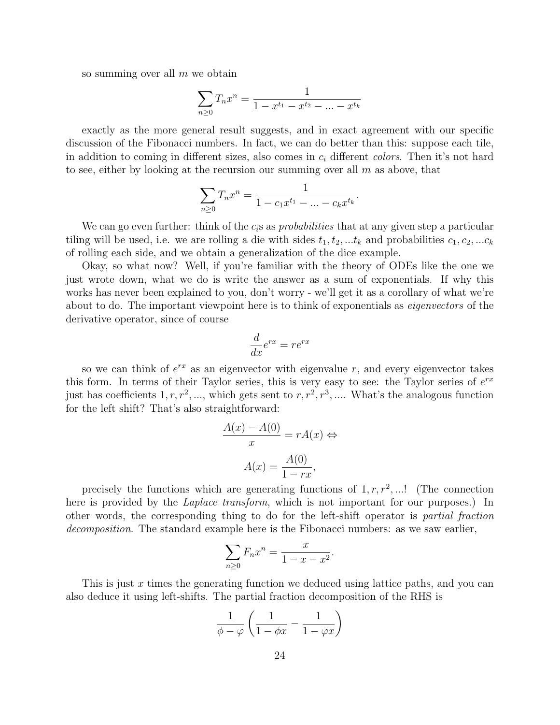so summing over all  $m$  we obtain

$$
\sum_{n\geq 0} T_n x^n = \frac{1}{1 - x^{t_1} - x^{t_2} - \dots - x^{t_k}}
$$

exactly as the more general result suggests, and in exact agreement with our specific discussion of the Fibonacci numbers. In fact, we can do better than this: suppose each tile, in addition to coming in different sizes, also comes in  $c_i$  different *colors*. Then it's not hard to see, either by looking at the recursion our summing over all  $m$  as above, that

$$
\sum_{n\geq 0} T_n x^n = \frac{1}{1 - c_1 x^{t_1} - \dots - c_k x^{t_k}}.
$$

We can go even further: think of the  $c_i$ s as *probabilities* that at any given step a particular tiling will be used, i.e. we are rolling a die with sides  $t_1, t_2, \ldots t_k$  and probabilities  $c_1, c_2, \ldots c_k$ of rolling each side, and we obtain a generalization of the dice example.

Okay, so what now? Well, if you're familiar with the theory of ODEs like the one we just wrote down, what we do is write the answer as a sum of exponentials. If why this works has never been explained to you, don't worry - we'll get it as a corollary of what we're about to do. The important viewpoint here is to think of exponentials as eigenvectors of the derivative operator, since of course

$$
\frac{d}{dx}e^{rx} = re^{rx}
$$

so we can think of  $e^{rx}$  as an eigenvector with eigenvalue  $r$ , and every eigenvector takes this form. In terms of their Taylor series, this is very easy to see: the Taylor series of  $e^{rx}$ just has coefficients  $1, r, r^2, ...,$  which gets sent to  $r, r^2, r^3, ...$  What's the analogous function for the left shift? That's also straightforward:

$$
\frac{A(x) - A(0)}{x} = rA(x) \Leftrightarrow
$$

$$
A(x) = \frac{A(0)}{1 - rx},
$$

precisely the functions which are generating functions of  $1, r, r^2, \dots$ ! (The connection here is provided by the *Laplace transform*, which is not important for our purposes.) In other words, the corresponding thing to do for the left-shift operator is partial fraction decomposition. The standard example here is the Fibonacci numbers: as we saw earlier,

$$
\sum_{n\geq 0} F_n x^n = \frac{x}{1-x-x^2}.
$$

This is just x times the generating function we deduced using lattice paths, and you can also deduce it using left-shifts. The partial fraction decomposition of the RHS is

$$
\frac{1}{\phi - \varphi} \left( \frac{1}{1 - \phi x} - \frac{1}{1 - \varphi x} \right)
$$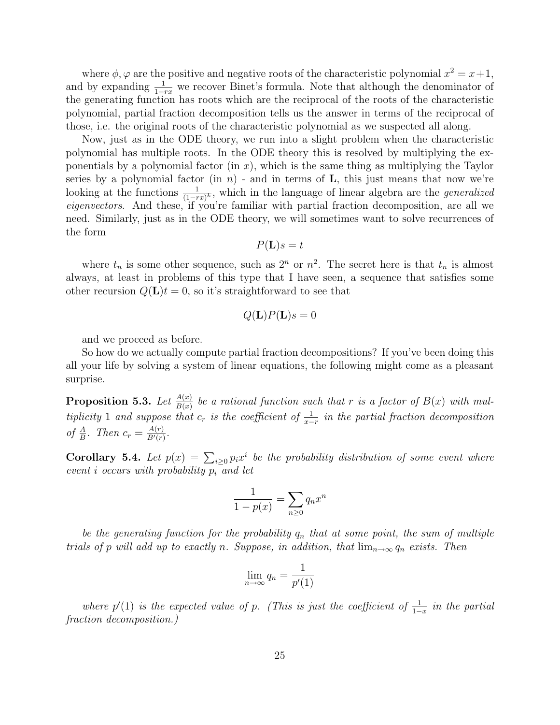where  $\phi$ ,  $\varphi$  are the positive and negative roots of the characteristic polynomial  $x^2 = x+1$ , and by expanding  $\frac{1}{1-rx}$  we recover Binet's formula. Note that although the denominator of the generating function has roots which are the reciprocal of the roots of the characteristic polynomial, partial fraction decomposition tells us the answer in terms of the reciprocal of those, i.e. the original roots of the characteristic polynomial as we suspected all along.

Now, just as in the ODE theory, we run into a slight problem when the characteristic polynomial has multiple roots. In the ODE theory this is resolved by multiplying the exponentials by a polynomial factor (in  $x$ ), which is the same thing as multiplying the Taylor series by a polynomial factor (in  $n$ ) - and in terms of **L**, this just means that now we're looking at the functions  $\frac{1}{(1-rx)^k}$ , which in the language of linear algebra are the *generalized* eigenvectors. And these, if you're familiar with partial fraction decomposition, are all we need. Similarly, just as in the ODE theory, we will sometimes want to solve recurrences of the form

$$
P(\mathbf{L})s = t
$$

where  $t_n$  is some other sequence, such as  $2^n$  or  $n^2$ . The secret here is that  $t_n$  is almost always, at least in problems of this type that I have seen, a sequence that satisfies some other recursion  $Q(L)t = 0$ , so it's straightforward to see that

$$
Q(\mathbf{L})P(\mathbf{L})s=0
$$

and we proceed as before.

So how do we actually compute partial fraction decompositions? If you've been doing this all your life by solving a system of linear equations, the following might come as a pleasant surprise.

**Proposition 5.3.** Let  $\frac{A(x)}{B(x)}$  be a rational function such that r is a factor of  $B(x)$  with multiplicity 1 and suppose that  $c_r$  is the coefficient of  $\frac{1}{x-r}$  in the partial fraction decomposition of  $\frac{A}{B}$ . Then  $c_r = \frac{A(r)}{B'(r)}$  $\frac{A(r)}{B'(r)}$ .

**Corollary 5.4.** Let  $p(x) = \sum_{i \geq 0} p_i x^i$  be the probability distribution of some event where event i occurs with probability  $p_i$  and let

$$
\frac{1}{1-p(x)} = \sum_{n\geq 0} q_n x^n
$$

be the generating function for the probability  $q_n$  that at some point, the sum of multiple trials of p will add up to exactly n. Suppose, in addition, that  $\lim_{n\to\infty} q_n$  exists. Then

$$
\lim_{n \to \infty} q_n = \frac{1}{p'(1)}
$$

where  $p'(1)$  is the expected value of p. (This is just the coefficient of  $\frac{1}{1-x}$  in the partial fraction decomposition.)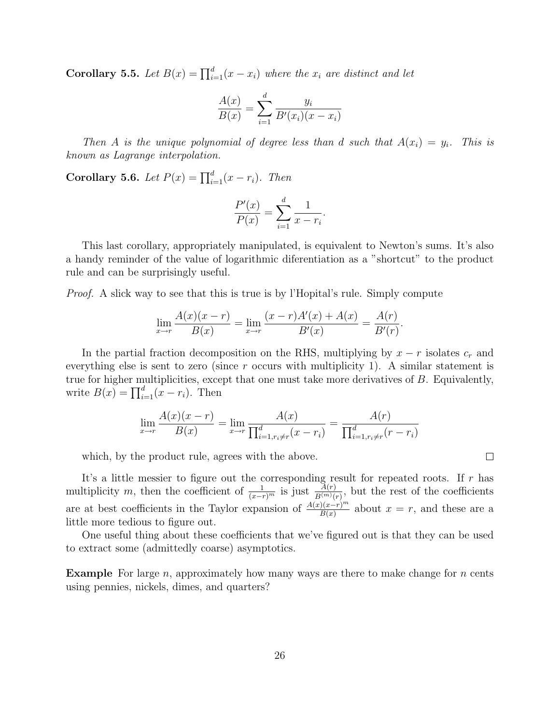**Corollary 5.5.** Let  $B(x) = \prod_{i=1}^{d} (x - x_i)$  where the  $x_i$  are distinct and let

$$
\frac{A(x)}{B(x)} = \sum_{i=1}^{d} \frac{y_i}{B'(x_i)(x - x_i)}
$$

Then A is the unique polynomial of degree less than d such that  $A(x_i) = y_i$ . This is known as Lagrange interpolation.

Corollary 5.6. Let  $P(x) = \prod_{i=1}^{d} (x - r_i)$ . Then

$$
\frac{P'(x)}{P(x)} = \sum_{i=1}^{d} \frac{1}{x - r_i}.
$$

This last corollary, appropriately manipulated, is equivalent to Newton's sums. It's also a handy reminder of the value of logarithmic diferentiation as a "shortcut" to the product rule and can be surprisingly useful.

Proof. A slick way to see that this is true is by l'Hopital's rule. Simply compute

$$
\lim_{x \to r} \frac{A(x)(x - r)}{B(x)} = \lim_{x \to r} \frac{(x - r)A'(x) + A(x)}{B'(x)} = \frac{A(r)}{B'(r)}.
$$

In the partial fraction decomposition on the RHS, multiplying by  $x - r$  isolates  $c_r$  and everything else is sent to zero (since r occurs with multiplicity 1). A similar statement is true for higher multiplicities, except that one must take more derivatives of B. Equivalently, write  $B(x) = \prod_{i=1}^{d} (x - r_i)$ . Then

$$
\lim_{x \to r} \frac{A(x)(x - r)}{B(x)} = \lim_{x \to r} \frac{A(x)}{\prod_{i=1, r_i \neq r}^d (x - r_i)} = \frac{A(r)}{\prod_{i=1, r_i \neq r}^d (r - r_i)}
$$

 $\Box$ 

which, by the product rule, agrees with the above.

It's a little messier to figure out the corresponding result for repeated roots. If r has multiplicity m, then the coefficient of  $\frac{1}{(x-r)^m}$  is just  $\frac{A(r)}{B^{(m)}(r)}$ , but the rest of the coefficients are at best coefficients in the Taylor expansion of  $\frac{A(x)(x-r)^m}{B(x)}$  about  $x = r$ , and these are a little more tedious to figure out.

One useful thing about these coefficients that we've figured out is that they can be used to extract some (admittedly coarse) asymptotics.

**Example** For large n, approximately how many ways are there to make change for n cents using pennies, nickels, dimes, and quarters?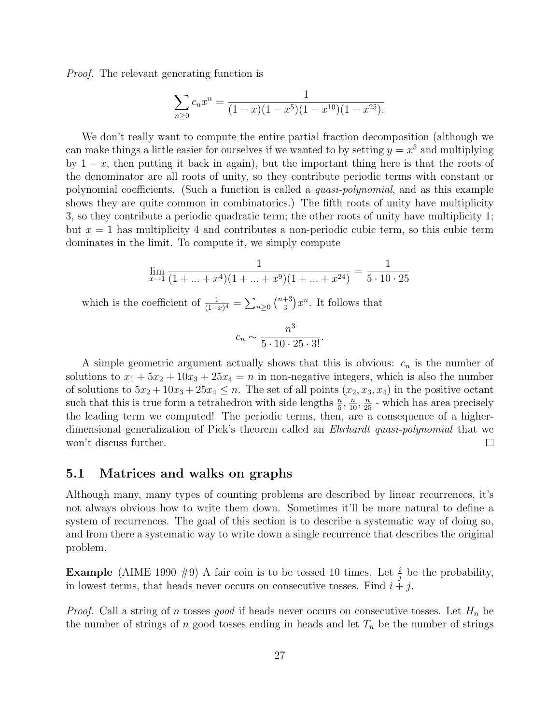Proof. The relevant generating function is

$$
\sum_{n\geq 0} c_n x^n = \frac{1}{(1-x)(1-x^5)(1-x^{10})(1-x^{25})}.
$$

We don't really want to compute the entire partial fraction decomposition (although we can make things a little easier for ourselves if we wanted to by setting  $y = x^5$  and multiplying by  $1 - x$ , then putting it back in again), but the important thing here is that the roots of the denominator are all roots of unity, so they contribute periodic terms with constant or polynomial coefficients. (Such a function is called a quasi-polynomial, and as this example shows they are quite common in combinatorics.) The fifth roots of unity have multiplicity 3, so they contribute a periodic quadratic term; the other roots of unity have multiplicity 1; but  $x = 1$  has multiplicity 4 and contributes a non-periodic cubic term, so this cubic term dominates in the limit. To compute it, we simply compute

$$
\lim_{x \to 1} \frac{1}{(1 + \dots + x^4)(1 + \dots + x^9)(1 + \dots + x^{24})} = \frac{1}{5 \cdot 10 \cdot 25}
$$

which is the coefficient of  $\frac{1}{(1-x)^4} = \sum_{n\geq 0} {n+3 \choose 3}$  $\binom{+3}{3}x^n$ . It follows that

$$
c_n \sim \frac{n^3}{5 \cdot 10 \cdot 25 \cdot 3!}.
$$

A simple geometric argument actually shows that this is obvious:  $c_n$  is the number of solutions to  $x_1 + 5x_2 + 10x_3 + 25x_4 = n$  in non-negative integers, which is also the number of solutions to  $5x_2 + 10x_3 + 25x_4 \le n$ . The set of all points  $(x_2, x_3, x_4)$  in the positive octant such that this is true form a tetrahedron with side lengths  $\frac{n}{5}$ ,  $\frac{n}{10}$ ,  $\frac{n}{25}$  - which has area precisely the leading term we computed! The periodic terms, then, are a consequence of a higherdimensional generalization of Pick's theorem called an Ehrhardt quasi-polynomial that we won't discuss further.  $\Box$ 

#### 5.1 Matrices and walks on graphs

Although many, many types of counting problems are described by linear recurrences, it's not always obvious how to write them down. Sometimes it'll be more natural to define a system of recurrences. The goal of this section is to describe a systematic way of doing so, and from there a systematic way to write down a single recurrence that describes the original problem.

**Example** (AIME 1990 #9) A fair coin is to be tossed 10 times. Let  $\frac{i}{j}$  be the probability, in lowest terms, that heads never occurs on consecutive tosses. Find  $i + j$ .

*Proof.* Call a string of n tosses good if heads never occurs on consecutive tosses. Let  $H_n$  be the number of strings of n good tosses ending in heads and let  $T_n$  be the number of strings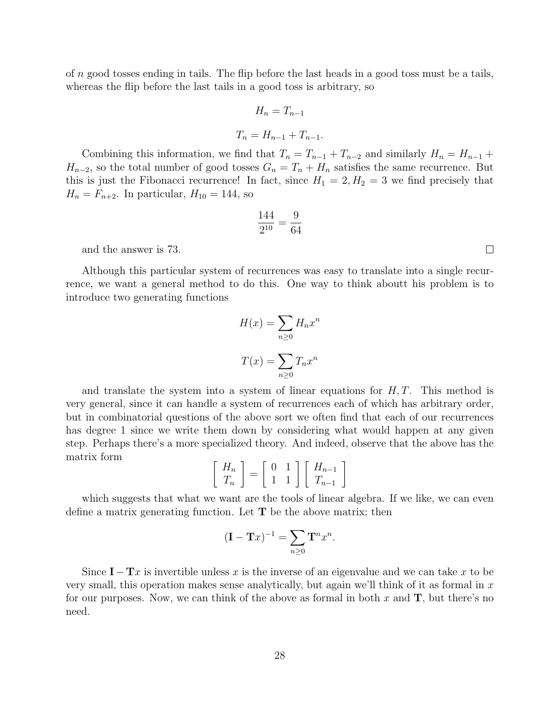of n good tosses ending in tails. The flip before the last heads in a good toss must be a tails, whereas the flip before the last tails in a good toss is arbitrary, so

$$
H_n = T_{n-1}
$$

$$
T_n = H_{n-1} + T_{n-1}.
$$

Combining this information, we find that  $T_n = T_{n-1} + T_{n-2}$  and similarly  $H_n = H_{n-1} +$  $H_{n-2}$ , so the total number of good tosses  $G_n = T_n + H_n$  satisfies the same recurrence. But this is just the Fibonacci recurrence! In fact, since  $H_1 = 2, H_2 = 3$  we find precisely that  $H_n = F_{n+2}$ . In particular,  $H_{10} = 144$ , so

$$
\frac{144}{2^{10}} = \frac{9}{64}
$$

and the answer is 73.

Although this particular system of recurrences was easy to translate into a single recurrence, we want a general method to do this. One way to think aboutt his problem is to introduce two generating functions

$$
H(x) = \sum_{n\geq 0} H_n x^n
$$

$$
T(x) = \sum_{n\geq 0} T_n x^n
$$

and translate the system into a system of linear equations for  $H, T$ . This method is very general, since it can handle a system of recurrences each of which has arbitrary order, but in combinatorial questions of the above sort we often find that each of our recurrences has degree 1 since we write them down by considering what would happen at any given step. Perhaps there's a more specialized theory. And indeed, observe that the above has the matrix form

$$
\left[\begin{array}{c} H_n \\ T_n \end{array}\right] = \left[\begin{array}{cc} 0 & 1 \\ 1 & 1 \end{array}\right] \left[\begin{array}{c} H_{n-1} \\ T_{n-1} \end{array}\right]
$$

which suggests that what we want are the tools of linear algebra. If we like, we can even define a matrix generating function. Let  $T$  be the above matrix; then

$$
(\mathbf{I} - \mathbf{T}x)^{-1} = \sum_{n \ge 0} \mathbf{T}^n x^n.
$$

Since  $I - Tx$  is invertible unless x is the inverse of an eigenvalue and we can take x to be very small, this operation makes sense analytically, but again we'll think of it as formal in  $x$ for our purposes. Now, we can think of the above as formal in both  $x$  and  $T$ , but there's no need.

 $\Box$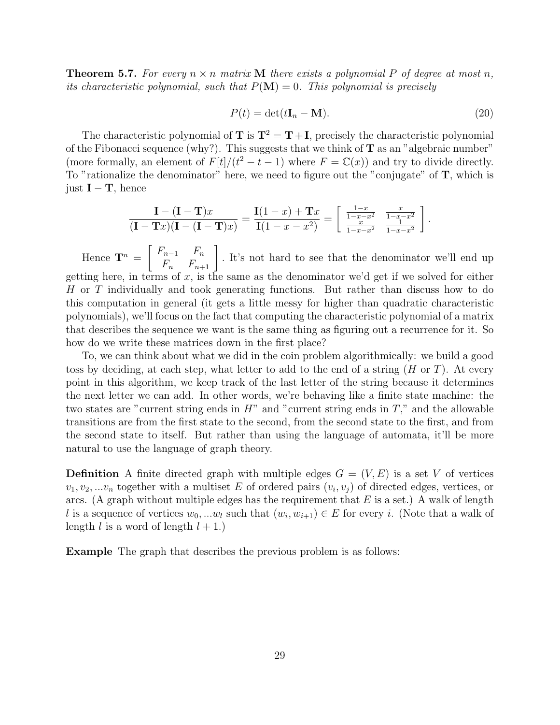**Theorem 5.7.** For every  $n \times n$  matrix **M** there exists a polynomial P of degree at most n, its characteristic polynomial, such that  $P(\mathbf{M}) = 0$ . This polynomial is precisely

$$
P(t) = \det(t\mathbf{I}_n - \mathbf{M}).\tag{20}
$$

The characteristic polynomial of **T** is  $T^2 = T + I$ , precisely the characteristic polynomial of the Fibonacci sequence (why?). This suggests that we think of  $T$  as an "algebraic number" (more formally, an element of  $F[t]/(t^2 - t - 1)$  where  $F = \mathbb{C}(x)$ ) and try to divide directly. To "rationalize the denominator" here, we need to figure out the "conjugate" of T, which is just  $\mathbf{I} - \mathbf{T}$ , hence

$$
\frac{\mathbf{I} - (\mathbf{I} - \mathbf{T})x}{(\mathbf{I} - \mathbf{T}x)(\mathbf{I} - (\mathbf{I} - \mathbf{T})x)} = \frac{\mathbf{I}(1-x) + \mathbf{T}x}{\mathbf{I}(1-x-x^2)} = \begin{bmatrix} \frac{1-x}{1-x-x^2} & \frac{x}{1-x-x^2} \\ \frac{x}{1-x-x^2} & \frac{1}{1-x-x^2} \end{bmatrix}.
$$

Hence  $\mathbf{T}^n = \begin{bmatrix} F_{n-1} & F_n \\ F_n & F_{n+1} \end{bmatrix}$ . It's not hard to see that the denominator we'll end up getting here, in terms of  $x$ , is the same as the denominator we'd get if we solved for either H or T individually and took generating functions. But rather than discuss how to do this computation in general (it gets a little messy for higher than quadratic characteristic polynomials), we'll focus on the fact that computing the characteristic polynomial of a matrix that describes the sequence we want is the same thing as figuring out a recurrence for it. So how do we write these matrices down in the first place?

To, we can think about what we did in the coin problem algorithmically: we build a good toss by deciding, at each step, what letter to add to the end of a string  $(H \text{ or } T)$ . At every point in this algorithm, we keep track of the last letter of the string because it determines the next letter we can add. In other words, we're behaving like a finite state machine: the two states are "current string ends in  $H$ " and "current string ends in  $T$ ," and the allowable transitions are from the first state to the second, from the second state to the first, and from the second state to itself. But rather than using the language of automata, it'll be more natural to use the language of graph theory.

**Definition** A finite directed graph with multiple edges  $G = (V, E)$  is a set V of vertices  $v_1, v_2, ... v_n$  together with a multiset E of ordered pairs  $(v_i, v_j)$  of directed edges, vertices, or arcs. (A graph without multiple edges has the requirement that  $E$  is a set.) A walk of length l is a sequence of vertices  $w_0, ... w_l$  such that  $(w_i, w_{i+1}) \in E$  for every i. (Note that a walk of length l is a word of length  $l + 1$ .

Example The graph that describes the previous problem is as follows: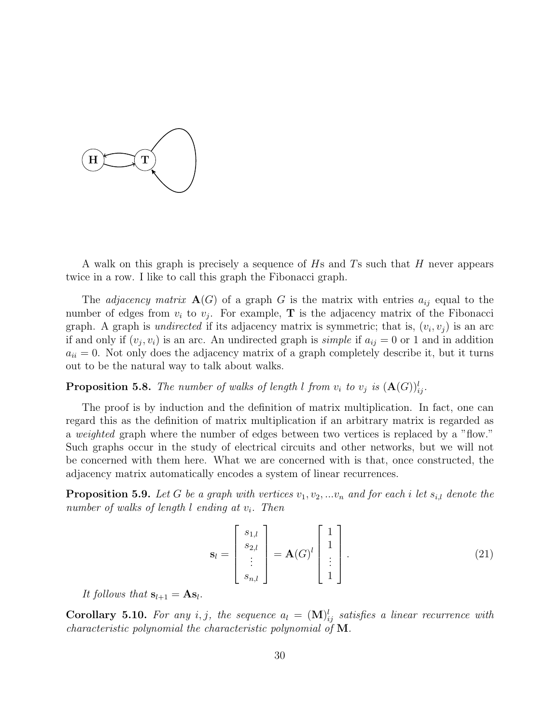

A walk on this graph is precisely a sequence of  $Hs$  and Ts such that  $H$  never appears twice in a row. I like to call this graph the Fibonacci graph.

The *adjacency matrix*  $\mathbf{A}(G)$  of a graph G is the matrix with entries  $a_{ij}$  equal to the number of edges from  $v_i$  to  $v_j$ . For example, **T** is the adjacency matrix of the Fibonacci graph. A graph is *undirected* if its adjacency matrix is symmetric; that is,  $(v_i, v_j)$  is an arc if and only if  $(v_j, v_i)$  is an arc. An undirected graph is *simple* if  $a_{ij} = 0$  or 1 and in addition  $a_{ii} = 0$ . Not only does the adjacency matrix of a graph completely describe it, but it turns out to be the natural way to talk about walks.

**Proposition 5.8.** The number of walks of length l from  $v_i$  to  $v_j$  is  $(A(G))_{ij}^l$ .

The proof is by induction and the definition of matrix multiplication. In fact, one can regard this as the definition of matrix multiplication if an arbitrary matrix is regarded as a weighted graph where the number of edges between two vertices is replaced by a "flow." Such graphs occur in the study of electrical circuits and other networks, but we will not be concerned with them here. What we are concerned with is that, once constructed, the adjacency matrix automatically encodes a system of linear recurrences.

**Proposition 5.9.** Let G be a graph with vertices  $v_1, v_2, ... v_n$  and for each i let  $s_{i,l}$  denote the number of walks of length l ending at  $v_i$ . Then

$$
\mathbf{s}_{l} = \begin{bmatrix} s_{1,l} \\ s_{2,l} \\ \vdots \\ s_{n,l} \end{bmatrix} = \mathbf{A}(G)^{l} \begin{bmatrix} 1 \\ 1 \\ \vdots \\ 1 \end{bmatrix} .
$$
 (21)

It follows that  $s_{l+1} = As_l$ .

**Corollary 5.10.** For any i, j, the sequence  $a_l = (\mathbf{M})_{ij}^l$  satisfies a linear recurrence with *characteristic polynomial the characteristic polynomial of*  $M$ .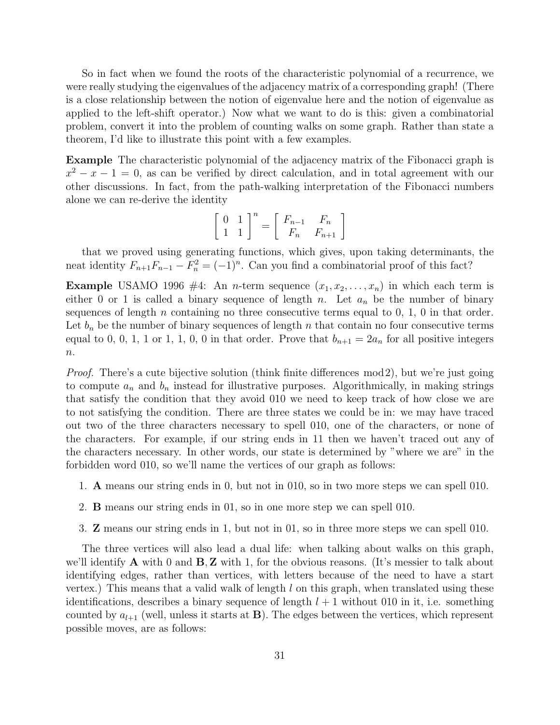So in fact when we found the roots of the characteristic polynomial of a recurrence, we were really studying the eigenvalues of the adjacency matrix of a corresponding graph! (There is a close relationship between the notion of eigenvalue here and the notion of eigenvalue as applied to the left-shift operator.) Now what we want to do is this: given a combinatorial problem, convert it into the problem of counting walks on some graph. Rather than state a theorem, I'd like to illustrate this point with a few examples.

Example The characteristic polynomial of the adjacency matrix of the Fibonacci graph is  $x^2 - x - 1 = 0$ , as can be verified by direct calculation, and in total agreement with our other discussions. In fact, from the path-walking interpretation of the Fibonacci numbers alone we can re-derive the identity

$$
\left[\begin{array}{cc} 0 & 1 \\ 1 & 1 \end{array}\right]^n = \left[\begin{array}{cc} F_{n-1} & F_n \\ F_n & F_{n+1} \end{array}\right]
$$

that we proved using generating functions, which gives, upon taking determinants, the neat identity  $F_{n+1}F_{n-1} - F_n^2 = (-1)^n$ . Can you find a combinatorial proof of this fact?

Example USAMO 1996 #4: An *n*-term sequence  $(x_1, x_2, \ldots, x_n)$  in which each term is either 0 or 1 is called a binary sequence of length n. Let  $a_n$  be the number of binary sequences of length n containing no three consecutive terms equal to  $0, 1, 0$  in that order. Let  $b_n$  be the number of binary sequences of length n that contain no four consecutive terms equal to 0, 0, 1, 1 or 1, 1, 0, 0 in that order. Prove that  $b_{n+1} = 2a_n$  for all positive integers  $\boldsymbol{n}.$ 

Proof. There's a cute bijective solution (think finite differences mod2), but we're just going to compute  $a_n$  and  $b_n$  instead for illustrative purposes. Algorithmically, in making strings that satisfy the condition that they avoid 010 we need to keep track of how close we are to not satisfying the condition. There are three states we could be in: we may have traced out two of the three characters necessary to spell 010, one of the characters, or none of the characters. For example, if our string ends in 11 then we haven't traced out any of the characters necessary. In other words, our state is determined by "where we are" in the forbidden word 010, so we'll name the vertices of our graph as follows:

- 1. A means our string ends in 0, but not in 010, so in two more steps we can spell 010.
- 2. B means our string ends in 01, so in one more step we can spell 010.
- 3. Z means our string ends in 1, but not in 01, so in three more steps we can spell 010.

The three vertices will also lead a dual life: when talking about walks on this graph, we'll identify  $A$  with 0 and  $B$ ,  $Z$  with 1, for the obvious reasons. (It's messier to talk about identifying edges, rather than vertices, with letters because of the need to have a start vertex.) This means that a valid walk of length  $l$  on this graph, when translated using these identifications, describes a binary sequence of length  $l + 1$  without 010 in it, i.e. something counted by  $a_{l+1}$  (well, unless it starts at **B**). The edges between the vertices, which represent possible moves, are as follows: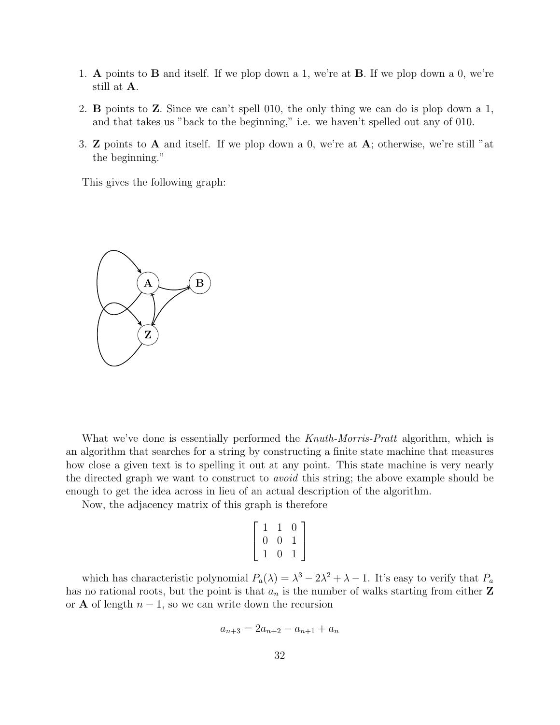- 1. A points to B and itself. If we plop down a 1, we're at B. If we plop down a 0, we're still at A.
- 2. B points to Z. Since we can't spell 010, the only thing we can do is plop down a 1, and that takes us "back to the beginning," i.e. we haven't spelled out any of 010.
- 3. Z points to A and itself. If we plop down a 0, we're at  $\bf{A}$ ; otherwise, we're still "at the beginning."

This gives the following graph:



What we've done is essentially performed the *Knuth-Morris-Pratt* algorithm, which is an algorithm that searches for a string by constructing a finite state machine that measures how close a given text is to spelling it out at any point. This state machine is very nearly the directed graph we want to construct to avoid this string; the above example should be enough to get the idea across in lieu of an actual description of the algorithm.

Now, the adjacency matrix of this graph is therefore

$$
\left[\begin{array}{rrr} 1 & 1 & 0 \\ 0 & 0 & 1 \\ 1 & 0 & 1 \end{array}\right]
$$

which has characteristic polynomial  $P_a(\lambda) = \lambda^3 - 2\lambda^2 + \lambda - 1$ . It's easy to verify that  $P_a$ has no rational roots, but the point is that  $a_n$  is the number of walks starting from either Z or **A** of length  $n-1$ , so we can write down the recursion

$$
a_{n+3} = 2a_{n+2} - a_{n+1} + a_n
$$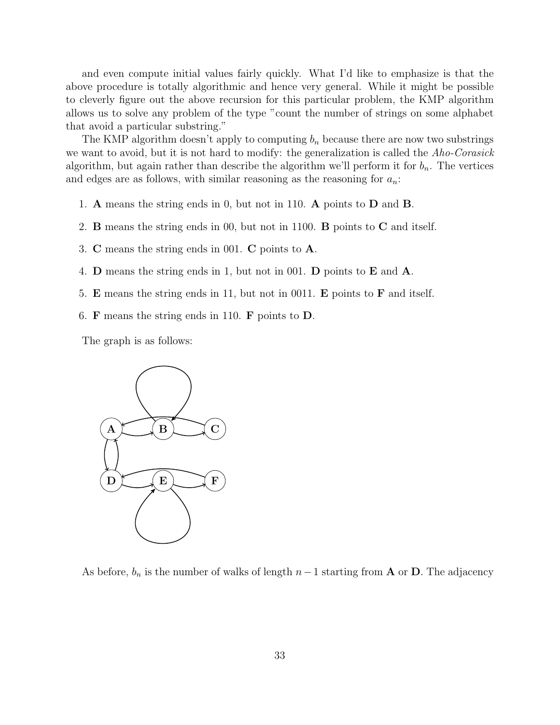and even compute initial values fairly quickly. What I'd like to emphasize is that the above procedure is totally algorithmic and hence very general. While it might be possible to cleverly figure out the above recursion for this particular problem, the KMP algorithm allows us to solve any problem of the type "count the number of strings on some alphabet that avoid a particular substring."

The KMP algorithm doesn't apply to computing  $b_n$  because there are now two substrings we want to avoid, but it is not hard to modify: the generalization is called the Aho-Corasick algorithm, but again rather than describe the algorithm we'll perform it for  $b_n$ . The vertices and edges are as follows, with similar reasoning as the reasoning for  $a_n$ .

- 1. A means the string ends in 0, but not in 110. A points to D and B.
- 2. B means the string ends in 00, but not in 1100. B points to C and itself.
- 3. C means the string ends in 001. C points to A.
- 4. D means the string ends in 1, but not in 001. D points to E and A.
- 5. E means the string ends in 11, but not in 0011. E points to F and itself.
- 6. F means the string ends in 110. F points to D.

The graph is as follows:



As before,  $b_n$  is the number of walks of length  $n-1$  starting from **A** or **D**. The adjacency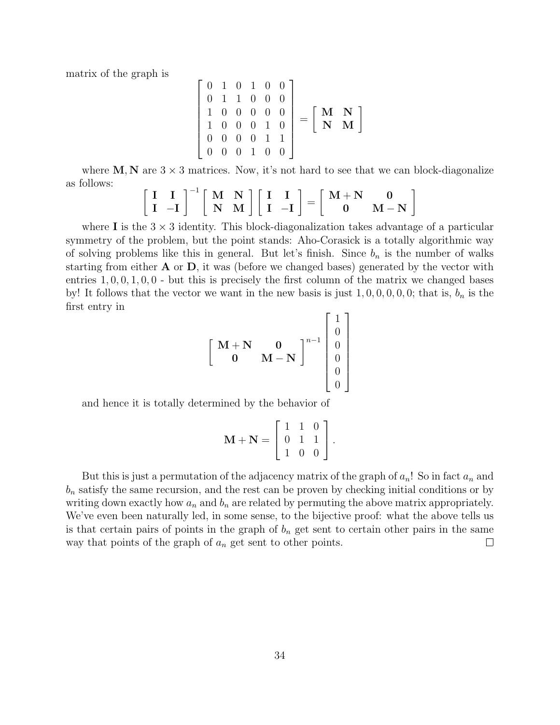matrix of the graph is

$$
\begin{bmatrix} 0 & 1 & 0 & 1 & 0 & 0 \\ 0 & 1 & 1 & 0 & 0 & 0 \\ 1 & 0 & 0 & 0 & 0 & 0 \\ 1 & 0 & 0 & 0 & 1 & 0 \\ 0 & 0 & 0 & 0 & 1 & 1 \\ 0 & 0 & 0 & 1 & 0 & 0 \end{bmatrix} = \begin{bmatrix} \mathbf{M} & \mathbf{N} \\ \mathbf{N} & \mathbf{M} \end{bmatrix}
$$

where  $M, N$  are  $3 \times 3$  matrices. Now, it's not hard to see that we can block-diagonalize as follows:

$$
\left[\begin{array}{cc} I & I \\ I & -I \end{array}\right]^{-1}\left[\begin{array}{cc} M & N \\ N & M \end{array}\right]\left[\begin{array}{cc} I & I \\ I & -I \end{array}\right]=\left[\begin{array}{cc} M+N & 0 \\ 0 & M-N \end{array}\right]
$$

where I is the  $3 \times 3$  identity. This block-diagonalization takes advantage of a particular symmetry of the problem, but the point stands: Aho-Corasick is a totally algorithmic way of solving problems like this in general. But let's finish. Since  $b_n$  is the number of walks starting from either  $A$  or  $D$ , it was (before we changed bases) generated by the vector with entries  $1, 0, 0, 1, 0, 0$  - but this is precisely the first column of the matrix we changed bases by! It follows that the vector we want in the new basis is just  $1, 0, 0, 0, 0, 0$ ; that is,  $b_n$  is the first entry in

$$
\left[\begin{array}{cc} \mathbf{M} + \mathbf{N} & \mathbf{0} \\ \mathbf{0} & \mathbf{M} - \mathbf{N} \end{array}\right]^{n-1} \left[\begin{array}{c} 1 \\ 0 \\ 0 \\ 0 \\ 0 \\ 0 \end{array}\right]
$$

and hence it is totally determined by the behavior of

$$
\mathbf{M} + \mathbf{N} = \left[ \begin{array}{rrr} 1 & 1 & 0 \\ 0 & 1 & 1 \\ 1 & 0 & 0 \end{array} \right].
$$

But this is just a permutation of the adjacency matrix of the graph of  $a_n!$  So in fact  $a_n$  and  $b_n$  satisfy the same recursion, and the rest can be proven by checking initial conditions or by writing down exactly how  $a_n$  and  $b_n$  are related by permuting the above matrix appropriately. We've even been naturally led, in some sense, to the bijective proof: what the above tells us is that certain pairs of points in the graph of  $b_n$  get sent to certain other pairs in the same way that points of the graph of  $a_n$  get sent to other points.  $\Box$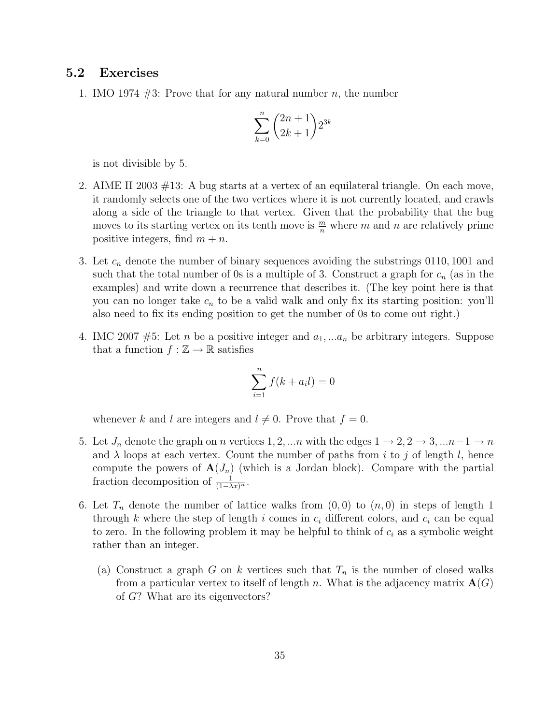### 5.2 Exercises

1. IMO 1974  $\#3$ : Prove that for any natural number *n*, the number

$$
\sum_{k=0}^{n} \binom{2n+1}{2k+1} 2^{3k}
$$

is not divisible by 5.

- 2. AIME II 2003 #13: A bug starts at a vertex of an equilateral triangle. On each move, it randomly selects one of the two vertices where it is not currently located, and crawls along a side of the triangle to that vertex. Given that the probability that the bug moves to its starting vertex on its tenth move is  $\frac{m}{n}$  where m and n are relatively prime positive integers, find  $m + n$ .
- 3. Let  $c_n$  denote the number of binary sequences avoiding the substrings 0110, 1001 and such that the total number of 0s is a multiple of 3. Construct a graph for  $c_n$  (as in the examples) and write down a recurrence that describes it. (The key point here is that you can no longer take  $c_n$  to be a valid walk and only fix its starting position: you'll also need to fix its ending position to get the number of 0s to come out right.)
- 4. IMC 2007  $\#5$ : Let *n* be a positive integer and  $a_1, \ldots, a_n$  be arbitrary integers. Suppose that a function  $f : \mathbb{Z} \to \mathbb{R}$  satisfies

$$
\sum_{i=1}^{n} f(k + a_i l) = 0
$$

whenever k and l are integers and  $l \neq 0$ . Prove that  $f = 0$ .

- 5. Let  $J_n$  denote the graph on n vertices  $1, 2, ...n$  with the edges  $1 \rightarrow 2, 2 \rightarrow 3, ...n-1 \rightarrow n$ and  $\lambda$  loops at each vertex. Count the number of paths from i to j of length l, hence compute the powers of  $\mathbf{A}(J_n)$  (which is a Jordan block). Compare with the partial fraction decomposition of  $\frac{1}{(1-\lambda x)^n}$ .
- 6. Let  $T_n$  denote the number of lattice walks from  $(0,0)$  to  $(n,0)$  in steps of length 1 through k where the step of length i comes in  $c_i$  different colors, and  $c_i$  can be equal to zero. In the following problem it may be helpful to think of  $c_i$  as a symbolic weight rather than an integer.
	- (a) Construct a graph G on k vertices such that  $T_n$  is the number of closed walks from a particular vertex to itself of length n. What is the adjacency matrix  $\mathbf{A}(G)$ of G? What are its eigenvectors?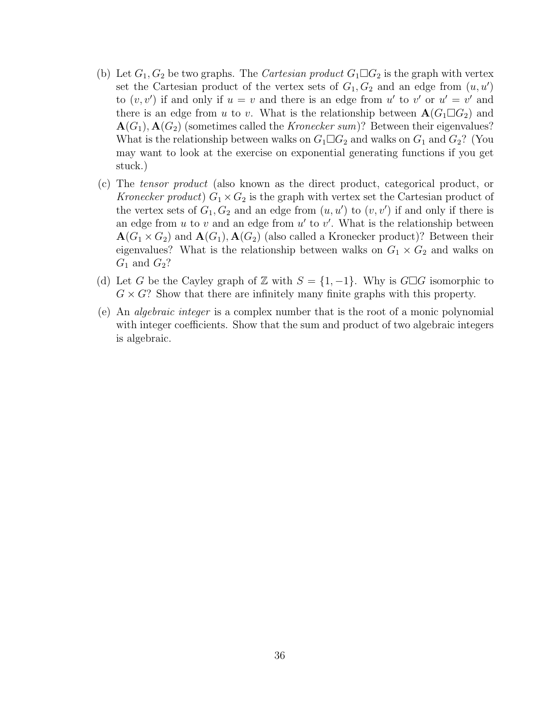- (b) Let  $G_1, G_2$  be two graphs. The *Cartesian product*  $G_1 \square G_2$  is the graph with vertex set the Cartesian product of the vertex sets of  $G_1, G_2$  and an edge from  $(u, u')$ to  $(v, v')$  if and only if  $u = v$  and there is an edge from u' to v' or  $u' = v'$  and there is an edge from u to v. What is the relationship between  $\mathbf{A}(G_1 \square G_2)$  and  $\mathbf{A}(G_1), \mathbf{A}(G_2)$  (sometimes called the *Kronecker sum*)? Between their eigenvalues? What is the relationship between walks on  $G_1 \square G_2$  and walks on  $G_1$  and  $G_2$ ? (You may want to look at the exercise on exponential generating functions if you get stuck.)
- (c) The tensor product (also known as the direct product, categorical product, or Kronecker product)  $G_1 \times G_2$  is the graph with vertex set the Cartesian product of the vertex sets of  $G_1, G_2$  and an edge from  $(u, u')$  to  $(v, v')$  if and only if there is an edge from  $u$  to  $v$  and an edge from  $u'$  to  $v'$ . What is the relationship between  $\mathbf{A}(G_1 \times G_2)$  and  $\mathbf{A}(G_1), \mathbf{A}(G_2)$  (also called a Kronecker product)? Between their eigenvalues? What is the relationship between walks on  $G_1 \times G_2$  and walks on  $G_1$  and  $G_2$ ?
- (d) Let G be the Cayley graph of Z with  $S = \{1, -1\}$ . Why is  $G \Box G$  isomorphic to  $G \times G$ ? Show that there are infinitely many finite graphs with this property.
- (e) An algebraic integer is a complex number that is the root of a monic polynomial with integer coefficients. Show that the sum and product of two algebraic integers is algebraic.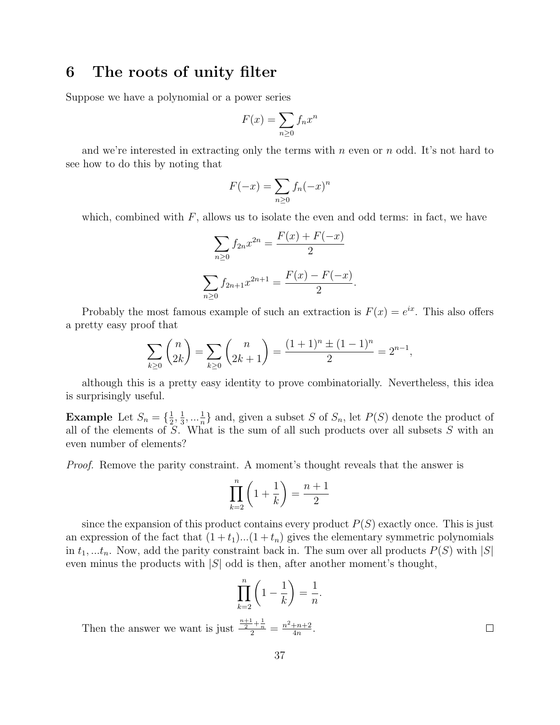## 6 The roots of unity filter

Suppose we have a polynomial or a power series

$$
F(x) = \sum_{n \ge 0} f_n x^n
$$

and we're interested in extracting only the terms with n even or n odd. It's not hard to see how to do this by noting that

$$
F(-x) = \sum_{n\geq 0} f_n(-x)^n
$$

which, combined with  $F$ , allows us to isolate the even and odd terms: in fact, we have

$$
\sum_{n\geq 0} f_{2n} x^{2n} = \frac{F(x) + F(-x)}{2}
$$

$$
\sum_{n\geq 0} f_{2n+1} x^{2n+1} = \frac{F(x) - F(-x)}{2}.
$$

Probably the most famous example of such an extraction is  $F(x) = e^{ix}$ . This also offers a pretty easy proof that

$$
\sum_{k\geq 0} \binom{n}{2k} = \sum_{k\geq 0} \binom{n}{2k+1} = \frac{(1+1)^n \pm (1-1)^n}{2} = 2^{n-1},
$$

although this is a pretty easy identity to prove combinatorially. Nevertheless, this idea is surprisingly useful.

**Example** Let  $S_n = \{\frac{1}{2}\}$  $\frac{1}{2}, \frac{1}{3}$  $\frac{1}{3}, \ldots, \frac{1}{n}$  $\frac{1}{n}$  and, given a subset S of  $S_n$ , let  $P(S)$  denote the product of all of the elements of  $S$ . What is the sum of all such products over all subsets  $S$  with an even number of elements?

Proof. Remove the parity constraint. A moment's thought reveals that the answer is

$$
\prod_{k=2}^{n} \left( 1 + \frac{1}{k} \right) = \frac{n+1}{2}
$$

since the expansion of this product contains every product  $P(S)$  exactly once. This is just an expression of the fact that  $(1 + t_1)...(1 + t_n)$  gives the elementary symmetric polynomials in  $t_1, \ldots, t_n$ . Now, add the parity constraint back in. The sum over all products  $P(S)$  with  $|S|$ even minus the products with  $|S|$  odd is then, after another moment's thought,

$$
\prod_{k=2}^{n} \left( 1 - \frac{1}{k} \right) = \frac{1}{n}
$$

.

Then the answer we want is just  $\frac{\frac{n+1}{2} + \frac{1}{n}}{2} = \frac{n^2 + n+2}{4n}$  $\frac{+n+2}{4n}$ .

 $\Box$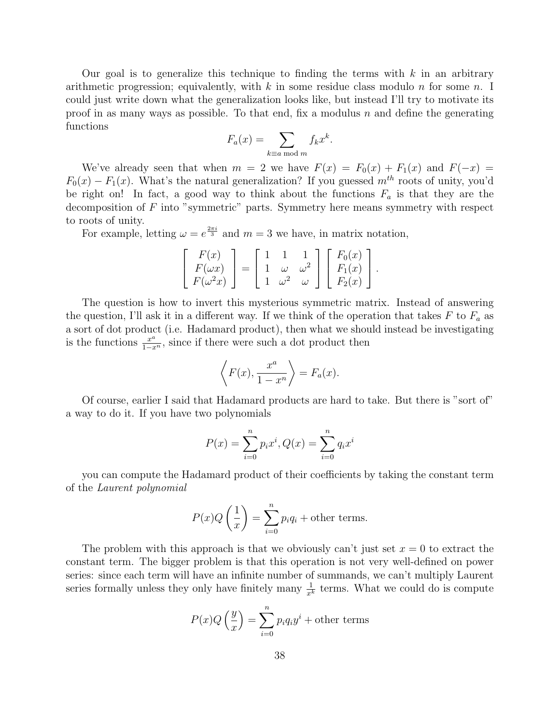Our goal is to generalize this technique to finding the terms with  $k$  in an arbitrary arithmetic progression; equivalently, with k in some residue class modulo n for some n. I could just write down what the generalization looks like, but instead I'll try to motivate its proof in as many ways as possible. To that end, fix a modulus  $n$  and define the generating functions

$$
F_a(x) = \sum_{k \equiv a \bmod m} f_k x^k.
$$

We've already seen that when  $m = 2$  we have  $F(x) = F_0(x) + F_1(x)$  and  $F(-x) =$  $F_0(x) - F_1(x)$ . What's the natural generalization? If you guessed  $m^{th}$  roots of unity, you'd be right on! In fact, a good way to think about the functions  $F_a$  is that they are the decomposition of  $F$  into "symmetric" parts. Symmetry here means symmetry with respect to roots of unity.

For example, letting  $\omega = e^{\frac{2\pi i}{3}}$  and  $m = 3$  we have, in matrix notation,

$$
\begin{bmatrix} F(x) \\ F(\omega x) \\ F(\omega^2 x) \end{bmatrix} = \begin{bmatrix} 1 & 1 & 1 \\ 1 & \omega & \omega^2 \\ 1 & \omega^2 & \omega \end{bmatrix} \begin{bmatrix} F_0(x) \\ F_1(x) \\ F_2(x) \end{bmatrix}.
$$

The question is how to invert this mysterious symmetric matrix. Instead of answering the question, I'll ask it in a different way. If we think of the operation that takes  $F$  to  $F_a$  as a sort of dot product (i.e. Hadamard product), then what we should instead be investigating is the functions  $\frac{x^a}{1-x^n}$ , since if there were such a dot product then

$$
\left\langle F(x), \frac{x^a}{1-x^n} \right\rangle = F_a(x).
$$

Of course, earlier I said that Hadamard products are hard to take. But there is "sort of" a way to do it. If you have two polynomials

$$
P(x) = \sum_{i=0}^{n} p_i x^i, Q(x) = \sum_{i=0}^{n} q_i x^i
$$

you can compute the Hadamard product of their coefficients by taking the constant term of the Laurent polynomial

$$
P(x)Q\left(\frac{1}{x}\right) = \sum_{i=0}^{n} p_i q_i + \text{other terms}.
$$

The problem with this approach is that we obviously can't just set  $x = 0$  to extract the constant term. The bigger problem is that this operation is not very well-defined on power series: since each term will have an infinite number of summands, we can't multiply Laurent series formally unless they only have finitely many  $\frac{1}{x^k}$  terms. What we could do is compute

$$
P(x)Q\left(\frac{y}{x}\right) = \sum_{i=0}^{n} p_i q_i y^i + \text{other terms}
$$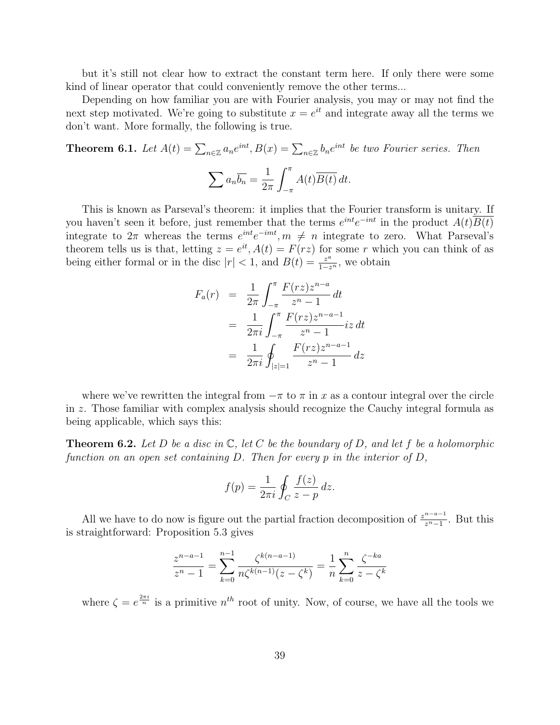but it's still not clear how to extract the constant term here. If only there were some kind of linear operator that could conveniently remove the other terms...

Depending on how familiar you are with Fourier analysis, you may or may not find the next step motivated. We're going to substitute  $x = e^{it}$  and integrate away all the terms we don't want. More formally, the following is true.

**Theorem 6.1.** Let  $A(t) = \sum_{n \in \mathbb{Z}} a_n e^{int}$ ,  $B(x) = \sum_{n \in \mathbb{Z}} b_n e^{int}$  be two Fourier series. Then

$$
\sum a_n \overline{b_n} = \frac{1}{2\pi} \int_{-\pi}^{\pi} A(t) \overline{B(t)} dt.
$$

This is known as Parseval's theorem: it implies that the Fourier transform is unitary. If you haven't seen it before, just remember that the terms  $e^{int}e^{-int}$  in the product  $A(t)\overline{B(t)}$ integrate to  $2\pi$  whereas the terms  $e^{int}e^{-imt}$ ,  $m \neq n$  integrate to zero. What Parseval's theorem tells us is that, letting  $z = e^{it}$ ,  $A(t) = F(rz)$  for some r which you can think of as being either formal or in the disc  $|r| < 1$ , and  $B(t) = \frac{z^a}{1-z^n}$ , we obtain

$$
F_a(r) = \frac{1}{2\pi} \int_{-\pi}^{\pi} \frac{F(rz)z^{n-a}}{z^n - 1} dt
$$
  
= 
$$
\frac{1}{2\pi i} \int_{-\pi}^{\pi} \frac{F(rz)z^{n-a-1}}{z^n - 1} iz dt
$$
  
= 
$$
\frac{1}{2\pi i} \oint_{|z|=1} \frac{F(rz)z^{n-a-1}}{z^n - 1} dz
$$

where we've rewritten the integral from  $-\pi$  to  $\pi$  in x as a contour integral over the circle in z. Those familiar with complex analysis should recognize the Cauchy integral formula as being applicable, which says this:

**Theorem 6.2.** Let D be a disc in  $\mathbb{C}$ , let C be the boundary of D, and let f be a holomorphic function on an open set containing D. Then for every p in the interior of D,

$$
f(p) = \frac{1}{2\pi i} \oint_C \frac{f(z)}{z - p} dz.
$$

All we have to do now is figure out the partial fraction decomposition of  $\frac{z^{n-a-1}}{z^{n}-1}$  $\frac{n-a-1}{z^2-1}$ . But this is straightforward: Proposition 5.3 gives

$$
\frac{z^{n-a-1}}{z^n - 1} = \sum_{k=0}^{n-1} \frac{\zeta^{k(n-a-1)}}{n\zeta^{k(n-1)}(z - \zeta^k)} = \frac{1}{n} \sum_{k=0}^n \frac{\zeta^{-ka}}{z - \zeta^k}
$$

where  $\zeta = e^{\frac{2\pi i}{n}}$  is a primitive  $n^{th}$  root of unity. Now, of course, we have all the tools we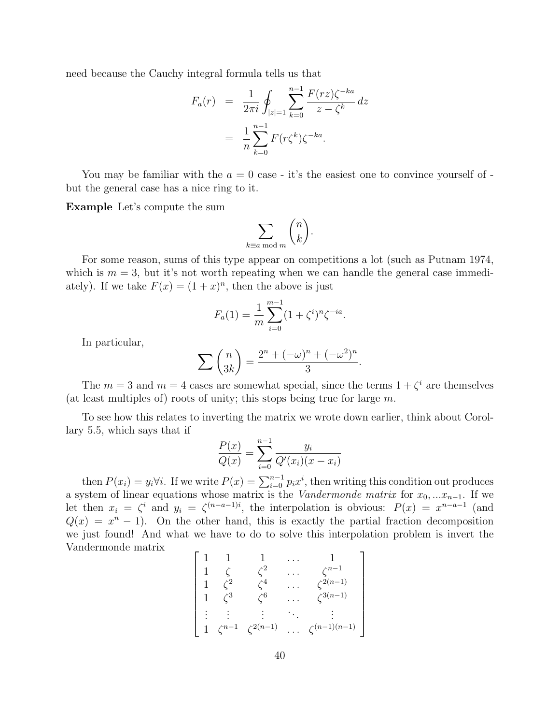need because the Cauchy integral formula tells us that

$$
F_a(r) = \frac{1}{2\pi i} \oint_{|z|=1} \sum_{k=0}^{n-1} \frac{F(rz)\zeta^{-ka}}{z-\zeta^k} dz
$$
  
= 
$$
\frac{1}{n} \sum_{k=0}^{n-1} F(r\zeta^k) \zeta^{-ka}.
$$

You may be familiar with the  $a = 0$  case - it's the easiest one to convince yourself of but the general case has a nice ring to it.

Example Let's compute the sum

$$
\sum_{k \equiv a \bmod m} \binom{n}{k}.
$$

For some reason, sums of this type appear on competitions a lot (such as Putnam 1974, which is  $m = 3$ , but it's not worth repeating when we can handle the general case immediately). If we take  $F(x) = (1 + x)^n$ , then the above is just

$$
F_a(1) = \frac{1}{m} \sum_{i=0}^{m-1} (1 + \zeta^i)^n \zeta^{-ia}.
$$

In particular,

$$
\sum \binom{n}{3k} = \frac{2^n + (-\omega)^n + (-\omega^2)^n}{3}.
$$

The  $m=3$  and  $m=4$  cases are somewhat special, since the terms  $1+\zeta^i$  are themselves (at least multiples of) roots of unity; this stops being true for large  $m$ .

To see how this relates to inverting the matrix we wrote down earlier, think about Corollary 5.5, which says that if

$$
\frac{P(x)}{Q(x)} = \sum_{i=0}^{n-1} \frac{y_i}{Q'(x_i)(x - x_i)}
$$

then  $P(x_i) = y_i \forall i$ . If we write  $P(x) = \sum_{i=0}^{n-1} p_i x^i$ , then writing this condition out produces a system of linear equations whose matrix is the Vandermonde matrix for  $x_0, ... x_{n-1}$ . If we let then  $x_i = \zeta^i$  and  $y_i = \zeta^{(n-a-1)i}$ , the interpolation is obvious:  $P(x) = x^{n-a-1}$  (and  $Q(x) = x^{n} - 1$ . On the other hand, this is exactly the partial fraction decomposition we just found! And what we have to do to solve this interpolation problem is invert the Vandermonde matrix  $\mathbf{r}$ 1

$$
\begin{bmatrix}\n1 & 1 & 1 & \dots & 1 \\
1 & \zeta & \zeta^2 & \dots & \zeta^{n-1} \\
1 & \zeta^2 & \zeta^4 & \dots & \zeta^{2(n-1)} \\
1 & \zeta^3 & \zeta^6 & \dots & \zeta^{3(n-1)} \\
\vdots & \vdots & \vdots & \ddots & \vdots \\
1 & \zeta^{n-1} & \zeta^{2(n-1)} & \dots & \zeta^{(n-1)(n-1)}\n\end{bmatrix}
$$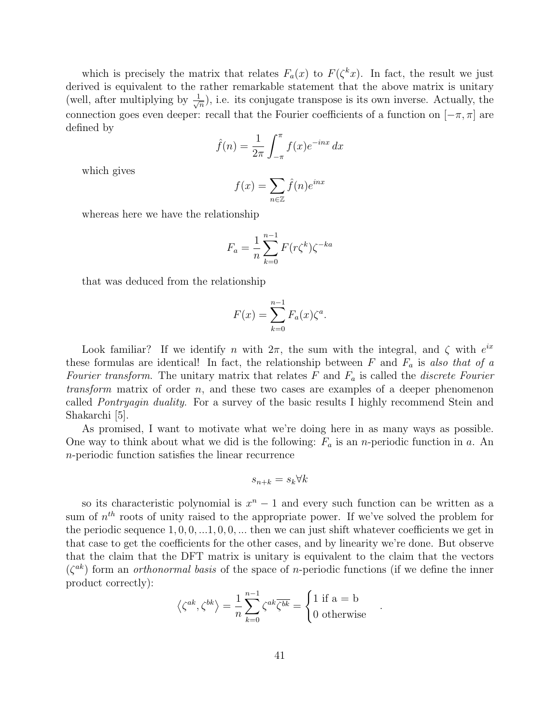which is precisely the matrix that relates  $F_a(x)$  to  $F(\zeta^k x)$ . In fact, the result we just derived is equivalent to the rather remarkable statement that the above matrix is unitary (well, after multiplying by  $\frac{1}{\sqrt{2}}$  $(\frac{1}{n})$ , i.e. its conjugate transpose is its own inverse. Actually, the connection goes even deeper: recall that the Fourier coefficients of a function on  $[-\pi, \pi]$  are defined by

$$
\hat{f}(n) = \frac{1}{2\pi} \int_{-\pi}^{\pi} f(x)e^{-inx} dx
$$

which gives

$$
f(x) = \sum_{n \in \mathbb{Z}} \hat{f}(n)e^{inx}
$$

whereas here we have the relationship

$$
F_a = \frac{1}{n} \sum_{k=0}^{n-1} F(r\zeta^k) \zeta^{-ka}
$$

that was deduced from the relationship

$$
F(x) = \sum_{k=0}^{n-1} F_a(x) \zeta^a.
$$

Look familiar? If we identify n with  $2\pi$ , the sum with the integral, and  $\zeta$  with  $e^{ix}$ these formulas are identical! In fact, the relationship between  $F$  and  $F_a$  is also that of a Fourier transform. The unitary matrix that relates  $F$  and  $F_a$  is called the *discrete Fourier* transform matrix of order n, and these two cases are examples of a deeper phenomenon called Pontryagin duality. For a survey of the basic results I highly recommend Stein and Shakarchi [5].

As promised, I want to motivate what we're doing here in as many ways as possible. One way to think about what we did is the following:  $F_a$  is an *n*-periodic function in a. An n-periodic function satisfies the linear recurrence

$$
s_{n+k} = s_k \forall k
$$

so its characteristic polynomial is  $x<sup>n</sup> - 1$  and every such function can be written as a sum of  $n<sup>th</sup>$  roots of unity raised to the appropriate power. If we've solved the problem for the periodic sequence  $1, 0, 0, \ldots, 1, 0, 0, \ldots$  then we can just shift whatever coefficients we get in that case to get the coefficients for the other cases, and by linearity we're done. But observe that the claim that the DFT matrix is unitary is equivalent to the claim that the vectors  $(\zeta^{ak})$  form an *orthonormal basis* of the space of *n*-periodic functions (if we define the inner product correctly):

$$
\langle \zeta^{ak}, \zeta^{bk} \rangle = \frac{1}{n} \sum_{k=0}^{n-1} \zeta^{ak} \overline{\zeta^{bk}} = \begin{cases} 1 \text{ if a = b} \\ 0 \text{ otherwise} \end{cases}
$$

.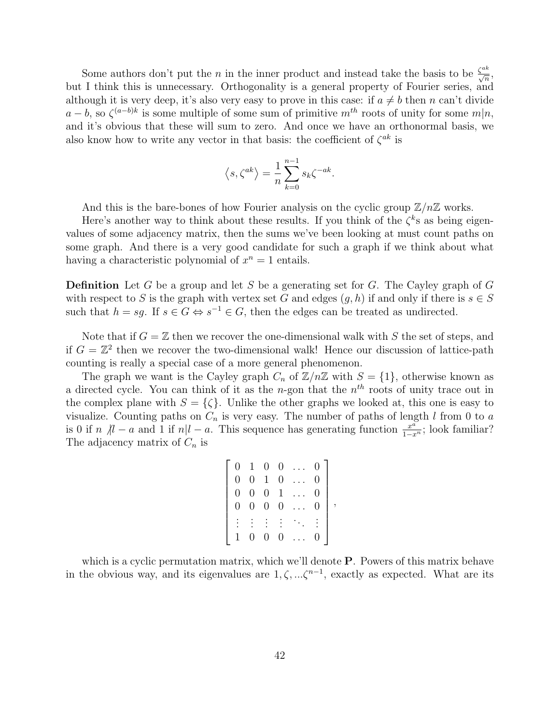Some authors don't put the *n* in the inner product and instead take the basis to be  $\frac{\zeta^{ak}}{\sqrt{n}}$ , but I think this is unnecessary. Orthogonality is a general property of Fourier series, and although it is very deep, it's also very easy to prove in this case: if  $a \neq b$  then n can't divide  $a - b$ , so  $\zeta^{(a-b)k}$  is some multiple of some sum of primitive  $m^{th}$  roots of unity for some  $m|n$ , and it's obvious that these will sum to zero. And once we have an orthonormal basis, we also know how to write any vector in that basis: the coefficient of  $\zeta^{ak}$  is

$$
\left\langle s,\zeta^{ak}\right\rangle=\frac{1}{n}\sum_{k=0}^{n-1}s_k\zeta^{-ak}.
$$

And this is the bare-bones of how Fourier analysis on the cyclic group  $\mathbb{Z}/n\mathbb{Z}$  works.

Here's another way to think about these results. If you think of the  $\zeta^k$ s as being eigenvalues of some adjacency matrix, then the sums we've been looking at must count paths on some graph. And there is a very good candidate for such a graph if we think about what having a characteristic polynomial of  $x^n = 1$  entails.

**Definition** Let G be a group and let S be a generating set for G. The Cayley graph of G with respect to S is the graph with vertex set G and edges  $(g, h)$  if and only if there is  $s \in S$ such that  $h = sg$ . If  $s \in G \Leftrightarrow s^{-1} \in G$ , then the edges can be treated as undirected.

Note that if  $G = \mathbb{Z}$  then we recover the one-dimensional walk with S the set of steps, and if  $G = \mathbb{Z}^2$  then we recover the two-dimensional walk! Hence our discussion of lattice-path counting is really a special case of a more general phenomenon.

The graph we want is the Cayley graph  $C_n$  of  $\mathbb{Z}/n\mathbb{Z}$  with  $S = \{1\}$ , otherwise known as a directed cycle. You can think of it as the *n*-gon that the  $n<sup>th</sup>$  roots of unity trace out in the complex plane with  $S = \{\zeta\}$ . Unlike the other graphs we looked at, this one is easy to visualize. Counting paths on  $C_n$  is very easy. The number of paths of length l from 0 to a is 0 if  $n \nmid l - a$  and 1 if  $n | l - a$ . This sequence has generating function  $\frac{x^a}{1-x^n}$ ; look familiar? The adjacency matrix of  $C_n$  is

$$
\left[\begin{array}{cccccc} 0 & 1 & 0 & 0 & \dots & 0 \\ 0 & 0 & 1 & 0 & \dots & 0 \\ 0 & 0 & 0 & 1 & \dots & 0 \\ 0 & 0 & 0 & 0 & \dots & 0 \\ \vdots & \vdots & \vdots & \vdots & \ddots & \vdots \\ 1 & 0 & 0 & 0 & \dots & 0 \end{array}\right],
$$

which is a cyclic permutation matrix, which we'll denote **P**. Powers of this matrix behave in the obvious way, and its eigenvalues are  $1, \zeta, \ldots, \zeta^{n-1}$ , exactly as expected. What are its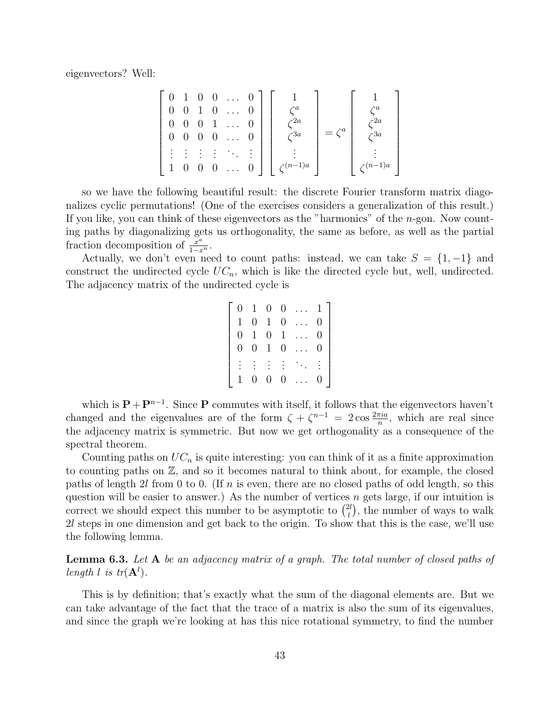eigenvectors? Well:

|  |            |          |          | $\ldots$             |   |                    |             |                  |
|--|------------|----------|----------|----------------------|---|--------------------|-------------|------------------|
|  |            |          |          | $\sim$               |   | -a                 |             |                  |
|  |            |          |          | $\ddot{\phantom{a}}$ |   | $\mathord{\sim}2a$ |             | 2a ∕             |
|  | $0\quad 0$ |          | $\theta$ | $\cdots$             |   | -3 $\it{a}$        | $-a$<br>$=$ | •За              |
|  |            |          |          |                      |   |                    |             |                  |
|  |            | $\theta$ | U        | $\sim$ $\sim$ $\sim$ | U | $\zeta^{(n-1)a}$   |             | $\zeta^{(n-1)a}$ |

so we have the following beautiful result: the discrete Fourier transform matrix diagonalizes cyclic permutations! (One of the exercises considers a generalization of this result.) If you like, you can think of these eigenvectors as the "harmonics" of the  $n$ -gon. Now counting paths by diagonalizing gets us orthogonality, the same as before, as well as the partial fraction decomposition of  $\frac{x^a}{1-x^n}$ .

Actually, we don't even need to count paths: instead, we can take  $S = \{1, -1\}$  and construct the undirected cycle  $UC_n$ , which is like the directed cycle but, well, undirected. The adjacency matrix of the undirected cycle is

$$
\begin{bmatrix} 0 & 1 & 0 & 0 & \dots & 1 \\ 1 & 0 & 1 & 0 & \dots & 0 \\ 0 & 1 & 0 & 1 & \dots & 0 \\ 0 & 0 & 1 & 0 & \dots & 0 \\ \vdots & \vdots & \vdots & \vdots & \ddots & \vdots \\ 1 & 0 & 0 & 0 & \dots & 0 \end{bmatrix}
$$

which is  $\mathbf{P} + \mathbf{P}^{n-1}$ . Since P commutes with itself, it follows that the eigenvectors haven't changed and the eigenvalues are of the form  $\zeta + \zeta^{n-1} = 2 \cos \frac{2\pi i a}{n}$ , which are real since the adjacency matrix is symmetric. But now we get orthogonality as a consequence of the spectral theorem.

Counting paths on  $UC_n$  is quite interesting: you can think of it as a finite approximation to counting paths on  $\mathbb{Z}$ , and so it becomes natural to think about, for example, the closed paths of length 2l from 0 to 0. (If n is even, there are no closed paths of odd length, so this question will be easier to answer.) As the number of vertices  $n$  gets large, if our intuition is correct we should expect this number to be asymptotic to  $\binom{2l}{l}$  $\binom{2l}{l}$ , the number of ways to walk 2l steps in one dimension and get back to the origin. To show that this is the case, we'll use the following lemma.

**Lemma 6.3.** Let  $A$  be an adjacency matrix of a graph. The total number of closed paths of length l is  $tr(\mathbf{A}^l)$ .

This is by definition; that's exactly what the sum of the diagonal elements are. But we can take advantage of the fact that the trace of a matrix is also the sum of its eigenvalues, and since the graph we're looking at has this nice rotational symmetry, to find the number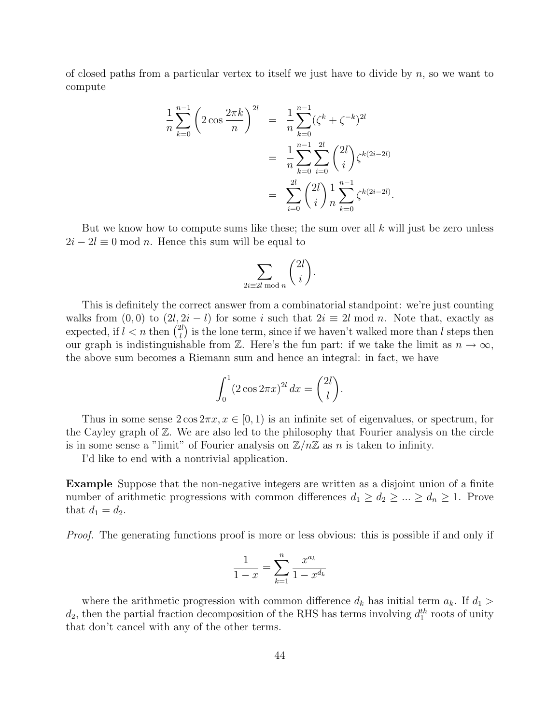of closed paths from a particular vertex to itself we just have to divide by  $n$ , so we want to compute

$$
\frac{1}{n} \sum_{k=0}^{n-1} \left( 2 \cos \frac{2\pi k}{n} \right)^{2l} = \frac{1}{n} \sum_{k=0}^{n-1} (\zeta^k + \zeta^{-k})^{2l}
$$

$$
= \frac{1}{n} \sum_{k=0}^{n-1} \sum_{i=0}^{2l} {2l \choose i} \zeta^{k(2i-2l)}
$$

$$
= \sum_{i=0}^{2l} {2l \choose i} \frac{1}{n} \sum_{k=0}^{n-1} \zeta^{k(2i-2l)}
$$

.

But we know how to compute sums like these; the sum over all  $k$  will just be zero unless  $2i - 2l \equiv 0 \mod n$ . Hence this sum will be equal to

$$
\sum_{2i\equiv 2l\bmod n}\binom{2l}{i}.
$$

This is definitely the correct answer from a combinatorial standpoint: we're just counting walks from  $(0, 0)$  to  $(2l, 2i - l)$  for some i such that  $2i \equiv 2l \mod n$ . Note that, exactly as expected, if  $l < n$  then  $\binom{2l}{l}$  $\binom{2l}{l}$  is the lone term, since if we haven't walked more than l steps then our graph is indistinguishable from  $\mathbb{Z}$ . Here's the fun part: if we take the limit as  $n \to \infty$ , the above sum becomes a Riemann sum and hence an integral: in fact, we have

$$
\int_0^1 (2\cos 2\pi x)^{2l} dx = \binom{2l}{l}.
$$

Thus in some sense  $2\cos 2\pi x, x \in [0, 1)$  is an infinite set of eigenvalues, or spectrum, for the Cayley graph of  $\mathbb{Z}$ . We are also led to the philosophy that Fourier analysis on the circle is in some sense a "limit" of Fourier analysis on  $\mathbb{Z}/n\mathbb{Z}$  as n is taken to infinity.

I'd like to end with a nontrivial application.

Example Suppose that the non-negative integers are written as a disjoint union of a finite number of arithmetic progressions with common differences  $d_1 \geq d_2 \geq ... \geq d_n \geq 1$ . Prove that  $d_1 = d_2$ .

Proof. The generating functions proof is more or less obvious: this is possible if and only if

$$
\frac{1}{1-x} = \sum_{k=1}^{n} \frac{x^{a_k}}{1 - x^{d_k}}
$$

where the arithmetic progression with common difference  $d_k$  has initial term  $a_k$ . If  $d_1 >$  $d_2$ , then the partial fraction decomposition of the RHS has terms involving  $d_1^{th}$  roots of unity that don't cancel with any of the other terms.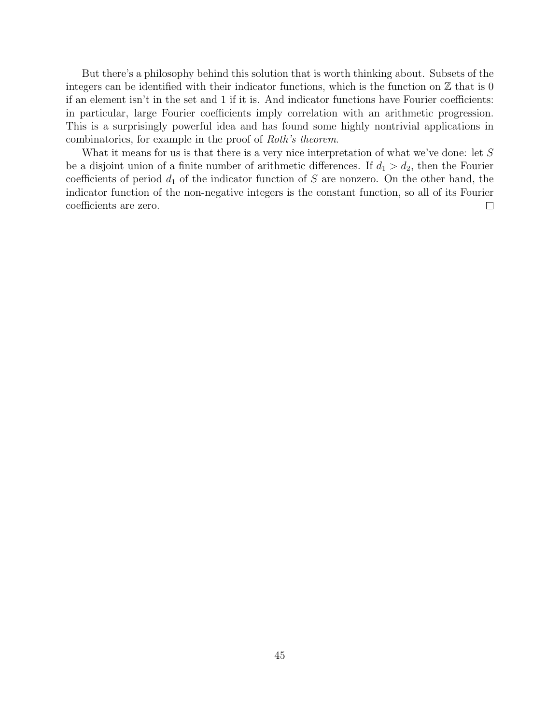But there's a philosophy behind this solution that is worth thinking about. Subsets of the integers can be identified with their indicator functions, which is the function on  $\mathbb Z$  that is 0 if an element isn't in the set and 1 if it is. And indicator functions have Fourier coefficients: in particular, large Fourier coefficients imply correlation with an arithmetic progression. This is a surprisingly powerful idea and has found some highly nontrivial applications in combinatorics, for example in the proof of Roth's theorem.

What it means for us is that there is a very nice interpretation of what we've done: let  $S$ be a disjoint union of a finite number of arithmetic differences. If  $d_1 > d_2$ , then the Fourier coefficients of period  $d_1$  of the indicator function of S are nonzero. On the other hand, the indicator function of the non-negative integers is the constant function, so all of its Fourier coefficients are zero.  $\Box$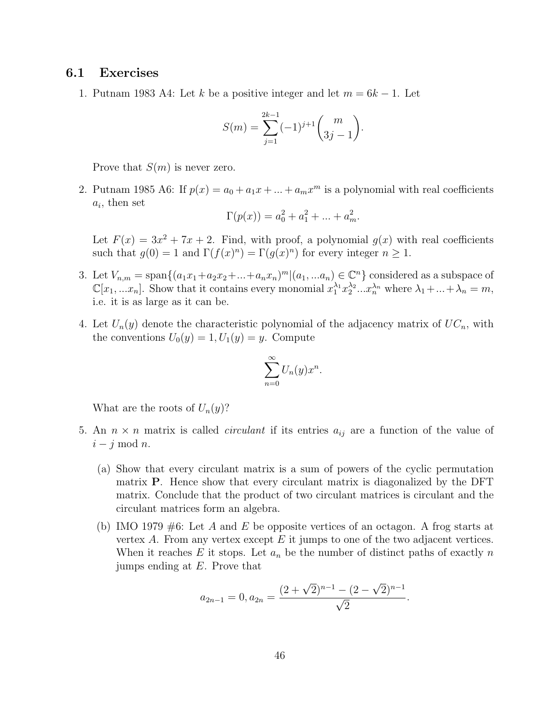#### 6.1 Exercises

1. Putnam 1983 A4: Let k be a positive integer and let  $m = 6k - 1$ . Let

$$
S(m) = \sum_{j=1}^{2k-1} (-1)^{j+1} {m \choose 3j-1}.
$$

Prove that  $S(m)$  is never zero.

2. Putnam 1985 A6: If  $p(x) = a_0 + a_1x + ... + a_mx^m$  is a polynomial with real coefficients  $a_i$ , then set

$$
\Gamma(p(x)) = a_0^2 + a_1^2 + \dots + a_m^2.
$$

Let  $F(x) = 3x^2 + 7x + 2$ . Find, with proof, a polynomial  $g(x)$  with real coefficients such that  $g(0) = 1$  and  $\Gamma(f(x)^n) = \Gamma(g(x)^n)$  for every integer  $n \ge 1$ .

- 3. Let  $V_{n,m} = \text{span}\{(a_1x_1 + a_2x_2 + ... + a_nx_n)^m | (a_1, ... a_n) \in \mathbb{C}^n\}$  considered as a subspace of  $\mathbb{C}[x_1,...x_n]$ . Show that it contains every monomial  $x_1^{\lambda_1}x_2^{\lambda_2}...x_n^{\lambda_n}$  where  $\lambda_1 + ... + \lambda_n = m$ , i.e. it is as large as it can be.
- 4. Let  $U_n(y)$  denote the characteristic polynomial of the adjacency matrix of  $UC_n$ , with the conventions  $U_0(y) = 1, U_1(y) = y$ . Compute

$$
\sum_{n=0}^{\infty} U_n(y) x^n.
$$

What are the roots of  $U_n(y)$ ?

- 5. An  $n \times n$  matrix is called *circulant* if its entries  $a_{ij}$  are a function of the value of  $i - j \mod n$ .
	- (a) Show that every circulant matrix is a sum of powers of the cyclic permutation matrix P. Hence show that every circulant matrix is diagonalized by the DFT matrix. Conclude that the product of two circulant matrices is circulant and the circulant matrices form an algebra.
	- (b) IMO 1979  $\#6$ : Let A and E be opposite vertices of an octagon. A frog starts at vertex  $A$ . From any vertex except  $E$  it jumps to one of the two adjacent vertices. When it reaches E it stops. Let  $a_n$  be the number of distinct paths of exactly n jumps ending at E. Prove that

$$
a_{2n-1} = 0, a_{2n} = \frac{(2+\sqrt{2})^{n-1} - (2-\sqrt{2})^{n-1}}{\sqrt{2}}.
$$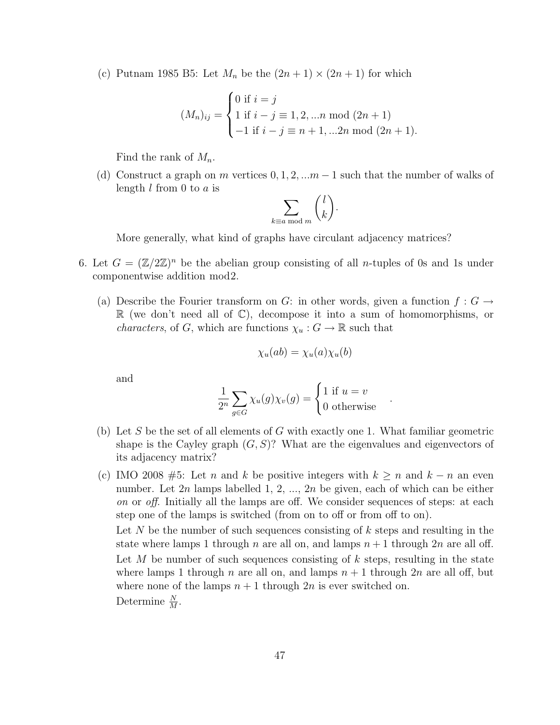(c) Putnam 1985 B5: Let  $M_n$  be the  $(2n + 1) \times (2n + 1)$  for which

$$
(M_n)_{ij} = \begin{cases} 0 \text{ if } i = j \\ 1 \text{ if } i - j \equiv 1, 2, \dots n \text{ mod } (2n + 1) \\ -1 \text{ if } i - j \equiv n + 1, \dots 2n \text{ mod } (2n + 1). \end{cases}
$$

Find the rank of  $M_n$ .

(d) Construct a graph on m vertices  $0, 1, 2, \ldots m-1$  such that the number of walks of length  $l$  from 0 to  $a$  is  $\lambda$ 

$$
\sum_{k \equiv a \bmod m} \binom{l}{k}.
$$

More generally, what kind of graphs have circulant adjacency matrices?

- 6. Let  $G = (\mathbb{Z}/2\mathbb{Z})^n$  be the abelian group consisting of all *n*-tuples of 0s and 1s under componentwise addition mod2.
	- (a) Describe the Fourier transform on G: in other words, given a function  $f: G \rightarrow$  $\mathbb R$  (we don't need all of  $\mathbb C$ ), decompose it into a sum of homomorphisms, or *characters*, of G, which are functions  $\chi_u : G \to \mathbb{R}$  such that

$$
\chi_u(ab) = \chi_u(a)\chi_u(b)
$$

and

$$
\frac{1}{2^n} \sum_{g \in G} \chi_u(g) \chi_v(g) = \begin{cases} 1 \text{ if } u = v \\ 0 \text{ otherwise} \end{cases}
$$

.

- (b) Let S be the set of all elements of G with exactly one 1. What familiar geometric shape is the Cayley graph  $(G, S)$ ? What are the eigenvalues and eigenvectors of its adjacency matrix?
- (c) IMO 2008 #5: Let n and k be positive integers with  $k > n$  and  $k n$  an even number. Let 2n lamps labelled 1, 2, ..., 2n be given, each of which can be either on or off. Initially all the lamps are off. We consider sequences of steps: at each step one of the lamps is switched (from on to off or from off to on).

Let  $N$  be the number of such sequences consisting of  $k$  steps and resulting in the state where lamps 1 through n are all on, and lamps  $n + 1$  through  $2n$  are all off. Let M be number of such sequences consisting of  $k$  steps, resulting in the state where lamps 1 through n are all on, and lamps  $n + 1$  through  $2n$  are all off, but where none of the lamps  $n + 1$  through  $2n$  is ever switched on. Determine  $\frac{N}{M}$ .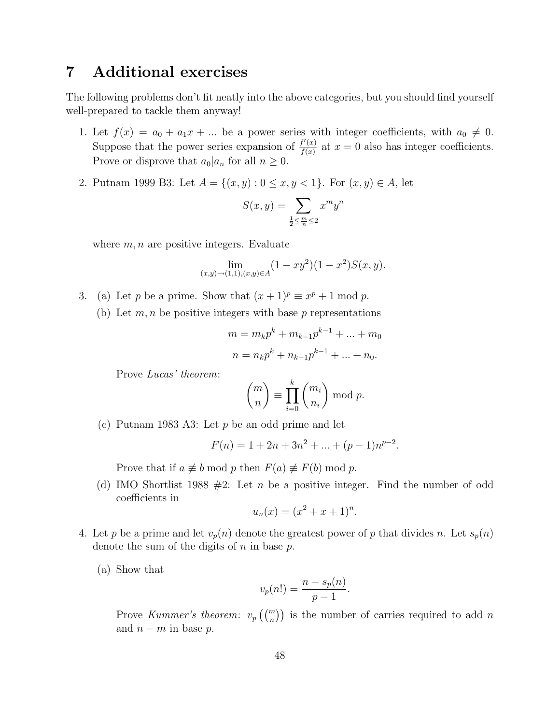# 7 Additional exercises

The following problems don't fit neatly into the above categories, but you should find yourself well-prepared to tackle them anyway!

- 1. Let  $f(x) = a_0 + a_1x + ...$  be a power series with integer coefficients, with  $a_0 \neq 0$ . Suppose that the power series expansion of  $\frac{f'(x)}{f(x)}$  $\frac{f'(x)}{f(x)}$  at  $x = 0$  also has integer coefficients. Prove or disprove that  $a_0|a_n$  for all  $n \geq 0$ .
- 2. Putnam 1999 B3: Let  $A = \{(x, y) : 0 \le x, y < 1\}$ . For  $(x, y) \in A$ , let

$$
S(x,y) = \sum_{\frac{1}{2} \le \frac{m}{n} \le 2} x^m y^n
$$

where  $m, n$  are positive integers. Evaluate

$$
\lim_{(x,y)\to(1,1),(x,y)\in A}(1-xy^2)(1-x^2)S(x,y).
$$

- 3. (a) Let p be a prime. Show that  $(x+1)^p \equiv x^p + 1 \mod p$ .
	- (b) Let  $m, n$  be positive integers with base p representations

$$
m = m_k p^k + m_{k-1} p^{k-1} + \dots + m_0
$$

$$
n = n_k p^k + n_{k-1} p^{k-1} + \dots + n_0.
$$

Prove Lucas' theorem:

$$
\binom{m}{n} \equiv \prod_{i=0}^{k} \binom{m_i}{n_i} \bmod p.
$$

(c) Putnam 1983 A3: Let  $p$  be an odd prime and let

$$
F(n) = 1 + 2n + 3n^{2} + \dots + (p - 1)n^{p-2}.
$$

Prove that if  $a \not\equiv b \mod p$  then  $F(a) \not\equiv F(b) \mod p$ .

(d) IMO Shortlist 1988  $#2$ : Let *n* be a positive integer. Find the number of odd coefficients in

$$
u_n(x) = (x^2 + x + 1)^n.
$$

- 4. Let p be a prime and let  $v_p(n)$  denote the greatest power of p that divides n. Let  $s_p(n)$ denote the sum of the digits of  $n$  in base  $p$ .
	- (a) Show that

$$
v_p(n!) = \frac{n - s_p(n)}{p - 1}.
$$

Prove Kummer's theorem:  $v_p\left(\binom{m}{n}\right)$  is the number of carries required to add n and  $n - m$  in base p.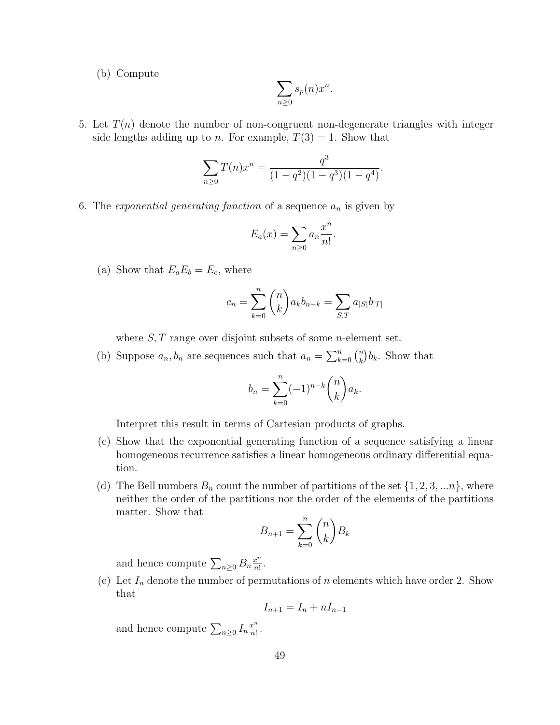(b) Compute

$$
\sum_{n\geq 0} s_p(n)x^n.
$$

5. Let  $T(n)$  denote the number of non-congruent non-degenerate triangles with integer side lengths adding up to *n*. For example,  $T(3) = 1$ . Show that

$$
\sum_{n\geq 0} T(n)x^n = \frac{q^3}{(1-q^2)(1-q^3)(1-q^4)}.
$$

6. The exponential generating function of a sequence  $a_n$  is given by

$$
E_a(x) = \sum_{n \ge 0} a_n \frac{x^n}{n!}.
$$

(a) Show that  $E_a E_b = E_c$ , where

$$
c_n = \sum_{k=0}^{n} {n \choose k} a_k b_{n-k} = \sum_{S,T} a_{|S|} b_{|T|}
$$

where  $S, T$  range over disjoint subsets of some *n*-element set.

(b) Suppose  $a_n, b_n$  are sequences such that  $a_n = \sum_{k=0}^n {n \choose k}$  $\binom{n}{k}b_k$ . Show that

$$
b_n = \sum_{k=0}^n (-1)^{n-k} \binom{n}{k} a_k.
$$

Interpret this result in terms of Cartesian products of graphs.

- (c) Show that the exponential generating function of a sequence satisfying a linear homogeneous recurrence satisfies a linear homogeneous ordinary differential equation.
- (d) The Bell numbers  $B_n$  count the number of partitions of the set  $\{1, 2, 3, ...n\}$ , where neither the order of the partitions nor the order of the elements of the partitions matter. Show that

$$
B_{n+1} = \sum_{k=0}^{n} \binom{n}{k} B_k
$$

and hence compute  $\sum_{n\geq 0} B_n \frac{x^n}{n!}$  $\frac{x^n}{n!}$ .

(e) Let  $I_n$  denote the number of permutations of n elements which have order 2. Show that

$$
I_{n+1} = I_n + nI_{n-1}
$$

and hence compute  $\sum_{n\geq 0} I_n \frac{x^n}{n!}$  $\frac{x^n}{n!}$ .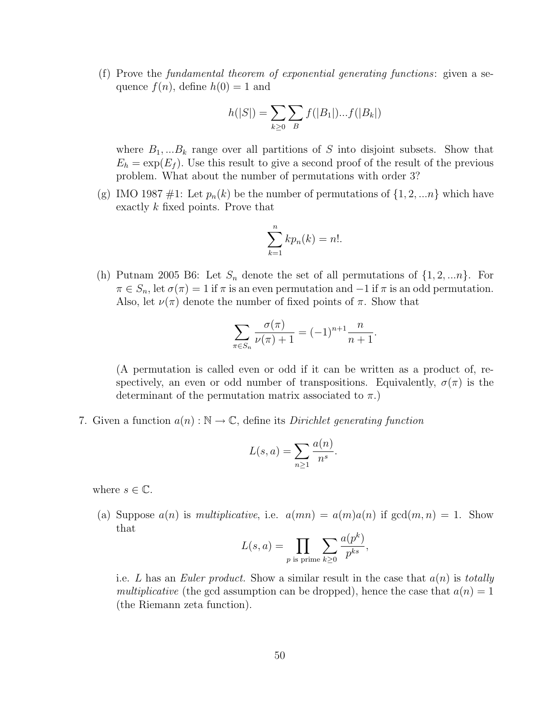(f) Prove the fundamental theorem of exponential generating functions: given a sequence  $f(n)$ , define  $h(0) = 1$  and

$$
h(|S|) = \sum_{k \ge 0} \sum_{B} f(|B_1|) ... f(|B_k|)
$$

where  $B_1,...B_k$  range over all partitions of S into disjoint subsets. Show that  $E_h = \exp(E_f)$ . Use this result to give a second proof of the result of the previous problem. What about the number of permutations with order 3?

(g) IMO 1987 #1: Let  $p_n(k)$  be the number of permutations of  $\{1, 2, \ldots n\}$  which have exactly k fixed points. Prove that

$$
\sum_{k=1}^{n} k p_n(k) = n!.
$$

(h) Putnam 2005 B6: Let  $S_n$  denote the set of all permutations of  $\{1, 2, \ldots n\}$ . For  $\pi \in S_n$ , let  $\sigma(\pi) = 1$  if  $\pi$  is an even permutation and  $-1$  if  $\pi$  is an odd permutation. Also, let  $\nu(\pi)$  denote the number of fixed points of  $\pi$ . Show that

$$
\sum_{\pi \in S_n} \frac{\sigma(\pi)}{\nu(\pi) + 1} = (-1)^{n+1} \frac{n}{n+1}.
$$

(A permutation is called even or odd if it can be written as a product of, respectively, an even or odd number of transpositions. Equivalently,  $\sigma(\pi)$  is the determinant of the permutation matrix associated to  $\pi$ .)

7. Given a function  $a(n): \mathbb{N} \to \mathbb{C}$ , define its *Dirichlet generating function* 

$$
L(s, a) = \sum_{n \ge 1} \frac{a(n)}{n^s}
$$

.

where  $s \in \mathbb{C}$ .

(a) Suppose  $a(n)$  is multiplicative, i.e.  $a(mn) = a(m)a(n)$  if  $gcd(m, n) = 1$ . Show that

$$
L(s, a) = \prod_{p \text{ is prime}} \sum_{k \geq 0} \frac{a(p^k)}{p^{ks}},
$$

i.e. L has an Euler product. Show a similar result in the case that  $a(n)$  is totally multiplicative (the gcd assumption can be dropped), hence the case that  $a(n) = 1$ (the Riemann zeta function).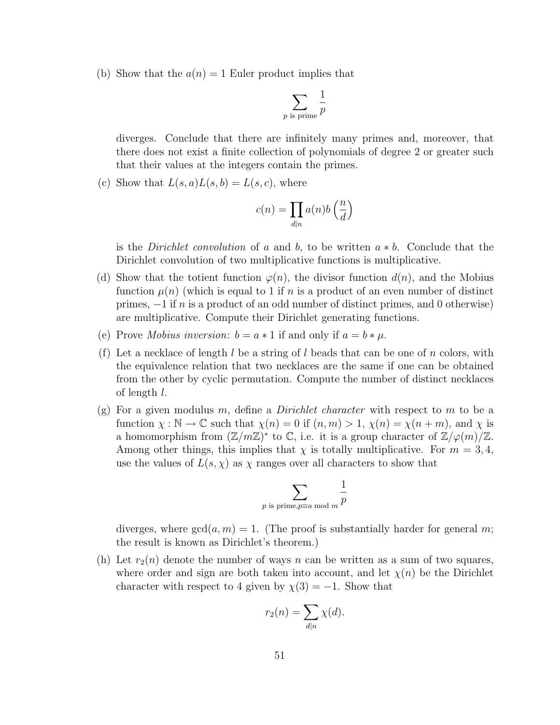(b) Show that the  $a(n) = 1$  Euler product implies that

$$
\sum_{p \text{ is prime}} \frac{1}{p}
$$

diverges. Conclude that there are infinitely many primes and, moreover, that there does not exist a finite collection of polynomials of degree 2 or greater such that their values at the integers contain the primes.

(c) Show that  $L(s, a)L(s, b) = L(s, c)$ , where

$$
c(n) = \prod_{d|n} a(n)b\left(\frac{n}{d}\right)
$$

is the *Dirichlet convolution* of a and b, to be written  $a * b$ . Conclude that the Dirichlet convolution of two multiplicative functions is multiplicative.

- (d) Show that the totient function  $\varphi(n)$ , the divisor function  $d(n)$ , and the Mobius function  $\mu(n)$  (which is equal to 1 if n is a product of an even number of distinct primes,  $-1$  if n is a product of an odd number of distinct primes, and 0 otherwise) are multiplicative. Compute their Dirichlet generating functions.
- (e) Prove Mobius inversion:  $b = a * 1$  if and only if  $a = b * \mu$ .
- (f) Let a necklace of length l be a string of l beads that can be one of n colors, with the equivalence relation that two necklaces are the same if one can be obtained from the other by cyclic permutation. Compute the number of distinct necklaces of length l.
- (g) For a given modulus m, define a *Dirichlet character* with respect to m to be a function  $\chi : \mathbb{N} \to \mathbb{C}$  such that  $\chi(n) = 0$  if  $(n, m) > 1$ ,  $\chi(n) = \chi(n + m)$ , and  $\chi$  is a homomorphism from  $(\mathbb{Z}/m\mathbb{Z})^*$  to  $\mathbb{C}$ , i.e. it is a group character of  $\mathbb{Z}/\varphi(m)/\mathbb{Z}$ . Among other things, this implies that  $\chi$  is totally multiplicative. For  $m = 3, 4$ , use the values of  $L(s, \chi)$  as  $\chi$  ranges over all characters to show that

$$
\sum_{p \text{ is prime}, p \equiv a \bmod m} \frac{1}{p}
$$

diverges, where  $gcd(a, m) = 1$ . (The proof is substantially harder for general m; the result is known as Dirichlet's theorem.)

(h) Let  $r_2(n)$  denote the number of ways n can be written as a sum of two squares, where order and sign are both taken into account, and let  $\chi(n)$  be the Dirichlet character with respect to 4 given by  $\chi(3) = -1$ . Show that

$$
r_2(n) = \sum_{d|n} \chi(d).
$$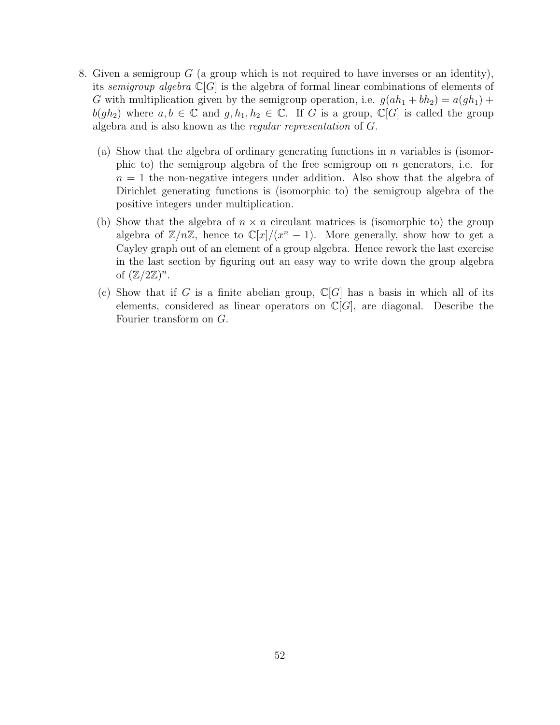- 8. Given a semigroup  $G$  (a group which is not required to have inverses or an identity), its semigroup algebra  $\mathbb{C}[G]$  is the algebra of formal linear combinations of elements of G with multiplication given by the semigroup operation, i.e.  $g(ah_1 + bh_2) = a(gh_1) +$  $b(gh_2)$  where  $a, b \in \mathbb{C}$  and  $g, h_1, h_2 \in \mathbb{C}$ . If G is a group,  $\mathbb{C}[G]$  is called the group algebra and is also known as the regular representation of G.
	- (a) Show that the algebra of ordinary generating functions in n variables is (isomorphic to) the semigroup algebra of the free semigroup on n generators, i.e. for  $n = 1$  the non-negative integers under addition. Also show that the algebra of Dirichlet generating functions is (isomorphic to) the semigroup algebra of the positive integers under multiplication.
	- (b) Show that the algebra of  $n \times n$  circulant matrices is (isomorphic to) the group algebra of  $\mathbb{Z}/n\mathbb{Z}$ , hence to  $\mathbb{C}[x]/(x^n-1)$ . More generally, show how to get a Cayley graph out of an element of a group algebra. Hence rework the last exercise in the last section by figuring out an easy way to write down the group algebra of  $(\mathbb{Z}/2\mathbb{Z})^n$ .
	- (c) Show that if G is a finite abelian group,  $\mathbb{C}[G]$  has a basis in which all of its elements, considered as linear operators on  $\mathbb{C}[G]$ , are diagonal. Describe the Fourier transform on G.